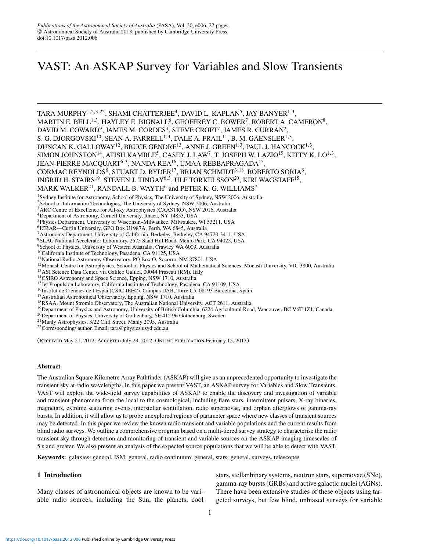# VAST: An ASKAP Survey for Variables and Slow Transients

TARA MURPHY<sup>1,2,3,22</sup>, SHAMI CHATTERJEE<sup>4</sup>, DAVID L. KAPLAN<sup>5</sup>, JAY BANYER<sup>1,3</sup>, MARTIN E. BELL<sup>1,3</sup>, HAYLEY E. BIGNALL<sup>6</sup>, GEOFFREY C. BOWER<sup>7</sup>, ROBERT A. CAMERON<sup>8</sup>, DAVID M. COWARD<sup>9</sup>, JAMES M. CORDES<sup>4</sup>, STEVE CROFT<sup>7</sup>, JAMES R. CURRAN<sup>2</sup>, S. G. DJORGOVSKI<sup>10</sup>, SEAN A. FARRELL<sup>1,3</sup>, DALE A. FRAIL<sup>11</sup>, B. M. GAENSLER<sup>1,3</sup>, DUNCAN K. GALLOWAY<sup>12</sup>, BRUCE GENDRE<sup>13</sup>, ANNE J. GREEN<sup>1,3</sup>, PAUL J. HANCOCK<sup>1,3</sup>, SIMON JOHNSTON<sup>14</sup>, ATISH KAMBLE<sup>5</sup>, CASEY J. LAW<sup>7</sup>, T. JOSEPH W. LAZIO<sup>15</sup>, KITTY K. LO<sup>1,3</sup>, JEAN-PIERRE MACQUART<sup>6,3</sup>, NANDA REA<sup>16</sup>, UMAA REBBAPRAGADA<sup>15</sup>, CORMAC REYNOLDS<sup>6</sup>, STUART D. RYDER<sup>17</sup>, BRIAN SCHMIDT<sup>3,18</sup>, ROBERTO SORIA<sup>6</sup>, INGRID H. STAIRS<sup>19</sup>, STEVEN J. TINGAY<sup>6,3</sup>, ULF TORKELSSON<sup>20</sup>, KIRI WAGSTAFF<sup>15</sup>, MARK WALKER<sup>21</sup>, RANDALL B. WAYTH<sup>6</sup> and PETER K. G. WILLIAMS<sup>7</sup>

<sup>1</sup>Sydney Institute for Astronomy, School of Physics, The University of Sydney, NSW 2006, Australia

- <sup>2</sup>School of Information Technologies, The University of Sydney, NSW 2006, Australia
- <sup>3</sup> ARC Centre of Excellence for All-sky Astrophysics (CAASTRO), NSW 2016, Australia

- 5Physics Department, University of Wisconsin–Milwaukee, Milwaukee, WI 53211, USA
- 6ICRAR—Curtin University, GPO Box U1987A, Perth, WA 6845, Australia
- 7Astronomy Department, University of California, Berkeley, Berkeley, CA 94720-3411, USA
- 8SLAC National Accelerator Laboratory, 2575 Sand Hill Road, Menlo Park, CA 94025, USA
- <sup>9</sup>School of Physics, University of Western Australia, Crawley WA 6009, Australia<sup>10</sup>California Institute of Technology, Pasadena, CA 91125, USA
- 
- 
- <sup>10</sup>California Institute of Technology, Pasadena, CA 91125, USA<br><sup>11</sup>National Radio Astronomy Observatory, PO Box O, Socorro, NM 87801, USA<br><sup>12</sup>Monash Centre for Astrophysics, School of Physics and School Schematical Scienc
- 
- 
- 
- 
- 
- 
- 
- 
- 

(Received May 21, 2012; Accepted July 29, 2012; Online Publication February 15, 2013)

## **Abstract**

The Australian Square Kilometre Array Pathfinder (ASKAP) will give us an unprecedented opportunity to investigate the transient sky at radio wavelengths. In this paper we present VAST, an ASKAP survey for Variables and Slow Transients. VAST will exploit the wide-field survey capabilities of ASKAP to enable the discovery and investigation of variable and transient phenomena from the local to the cosmological, including flare stars, intermittent pulsars, X-ray binaries, magnetars, extreme scattering events, interstellar scintillation, radio supernovae, and orphan afterglows of gamma-ray bursts. In addition, it will allow us to probe unexplored regions of parameter space where new classes of transient sources may be detected. In this paper we review the known radio transient and variable populations and the current results from blind radio surveys. We outline a comprehensive program based on a multi-tiered survey strategy to characterise the radio transient sky through detection and monitoring of transient and variable sources on the ASKAP imaging timescales of 5 s and greater. We also present an analysis of the expected source populations that we will be able to detect with VAST.

**Keywords:** galaxies: general, ISM: general, radio continuum: general, stars: general, surveys, telescopes

#### **1 Introduction**

Many classes of astronomical objects are known to be variable radio sources, including the Sun, the planets, cool stars, stellar binary systems, neutron stars, supernovae (SNe), gamma-ray bursts (GRBs) and active galactic nuclei (AGNs). There have been extensive studies of these objects using targeted surveys, but few blind, unbiased surveys for variable

<sup>4</sup>Department of Astronomy, Cornell University, Ithaca, NY 14853, USA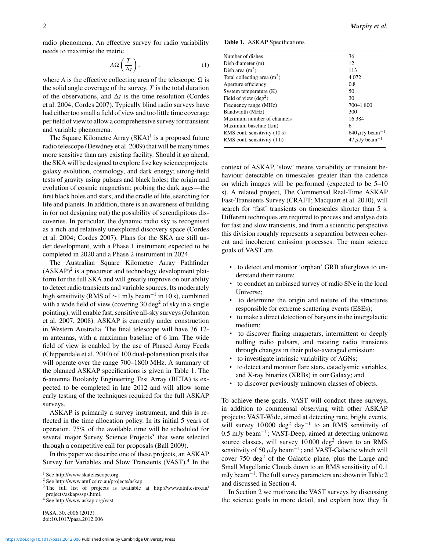radio phenomena. An effective survey for radio variability needs to maximise the metric

$$
A\Omega\left(\frac{T}{\Delta t}\right),\tag{1}
$$

where  $A$  is the effective collecting area of the telescope,  $\Omega$  is the solid angle coverage of the survey, *T* is the total duration of the observations, and  $\Delta t$  is the time resolution (Cordes et al. 2004; Cordes 2007). Typically blind radio surveys have had either too small a field of view and too little time coverage per field of view to allow a comprehensive survey for transient and variable phenomena.

The Square Kilometre Array  $(SKA)^{1}$  is a proposed future radio telescope (Dewdney et al. 2009) that will be many times more sensitive than any existing facility. Should it go ahead, the SKA will be designed to explore five key science projects: galaxy evolution, cosmology, and dark energy; strong-field tests of gravity using pulsars and black holes; the origin and evolution of cosmic magnetism; probing the dark ages—the first black holes and stars; and the cradle of life, searching for life and planets. In addition, there is an awareness of building in (or not designing out) the possibility of serendipitous discoveries. In particular, the dynamic radio sky is recognised as a rich and relatively unexplored discovery space (Cordes et al. 2004; Cordes 2007). Plans for the SKA are still under development, with a Phase 1 instrument expected to be completed in 2020 and a Phase 2 instrument in 2024.

The Australian Square Kilometre Array Pathfinder  $(ASKAP)^2$  is a precursor and technology development platform for the full SKA and will greatly improve on our ability to detect radio transients and variable sources. Its moderately high sensitivity (RMS of  $\sim$ 1 mJy beam<sup>-1</sup> in 10 s), combined with a wide field of view (covering  $30 \text{ deg}^2$  of sky in a single pointing), will enable fast, sensitive all-sky surveys (Johnston et al. 2007, 2008). ASKAP is currently under construction in Western Australia. The final telescope will have 36 12 m antennas, with a maximum baseline of 6 km. The wide field of view is enabled by the use of Phased Array Feeds (Chippendale et al. 2010) of 100 dual-polarisation pixels that will operate over the range 700–1800 MHz. A summary of the planned ASKAP specifications is given in Table 1. The 6-antenna Boolardy Engineering Test Array (BETA) is expected to be completed in late 2012 and will allow some early testing of the techniques required for the full ASKAP surveys.

ASKAP is primarily a survey instrument, and this is reflected in the time allocation policy. In its initial 5 years of operation, 75% of the available time will be scheduled for several major Survey Science Projects<sup>3</sup> that were selected through a competitive call for proposals (Ball 2009).

In this paper we describe one of these projects, an ASKAP Survey for Variables and Slow Transients (VAST).<sup>4</sup> In the

PASA, 30, e006 (2013) doi:10.1017/pasa.2012.006

| Number of dishes               | 36                              |
|--------------------------------|---------------------------------|
| Dish diameter (m)              | 12.                             |
| Dish area $(m^2)$              | 113                             |
| Total collecting area $(m2)$   | 4 0 7 2                         |
| Aperture efficiency            | 0.8                             |
| System temperature $(K)$       | 50                              |
| Field of view $(\text{deg}^2)$ | 30                              |
| Frequency range (MHz)          | $700 - 1800$                    |
| Bandwidth (MHz)                | 300                             |
| Maximum number of channels     | 16 3 8 4                        |
| Maximum baseline (km)          | 6                               |
| RMS cont. sensitivity $(10 s)$ | 640 $\mu$ Jy beam <sup>-1</sup> |
| RMS cont. sensitivity (1 h)    | 47 $\mu$ Jy beam <sup>-1</sup>  |
|                                |                                 |

context of ASKAP, 'slow' means variability or transient behaviour detectable on timescales greater than the cadence on which images will be performed (expected to be 5–10 s). A related project, The Commensal Real-Time ASKAP Fast-Transients Survey (CRAFT; Macquart et al. 2010), will search for 'fast' transients on timescales shorter than 5 s. Different techniques are required to process and analyse data for fast and slow transients, and from a scientific perspective this division roughly represents a separation between coherent and incoherent emission processes. The main science goals of VAST are

- to detect and monitor 'orphan' GRB afterglows to understand their nature;
- to conduct an unbiased survey of radio SNe in the local Universe;
- to determine the origin and nature of the structures responsible for extreme scattering events (ESEs);
- to make a direct detection of baryons in the intergalactic medium;
- to discover flaring magnetars, intermittent or deeply nulling radio pulsars, and rotating radio transients through changes in their pulse-averaged emission;
- to investigate intrinsic variability of AGNs;
- to detect and monitor flare stars, cataclysmic variables, and X-ray binaries (XRBs) in our Galaxy; and
- to discover previously unknown classes of objects.

To achieve these goals, VAST will conduct three surveys, in addition to commensal observing with other ASKAP projects: VAST-Wide, aimed at detecting rare, bright events, will survey 10 000 deg<sup>2</sup> day<sup>-1</sup> to an RMS sensitivity of 0.5 mJy beam−1; VAST-Deep, aimed at detecting unknown source classes, will survey  $10000 \text{ deg}^2$  down to an RMS sensitivity of 50  $\mu$ Jy beam<sup>-1</sup>; and VAST-Galactic which will cover 750  $\text{deg}^2$  of the Galactic plane, plus the Large and Small Magellanic Clouds down to an RMS sensitivity of 0.1 mJy beam−1. The full survey parameters are shown in Table 2 and discussed in Section 4.

In Section 2 we motivate the VAST surveys by discussing the science goals in more detail, and explain how they fit

<sup>1</sup> See http://www.skatelescope.org.

<sup>2</sup> See http://www.atnf.csiro.au/projects/askap.

<sup>3</sup> The full list of projects is available at http://www.atnf.csiro.au/ projects/askap/ssps.html.

<sup>4</sup> See http://www.askap.org/vast.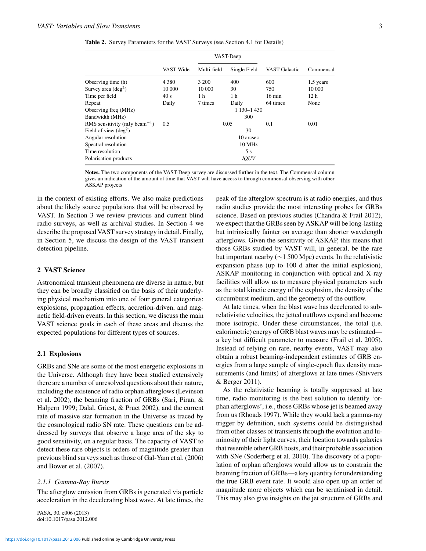|                                           |           | VAST-Deep   |                |                      |                 |
|-------------------------------------------|-----------|-------------|----------------|----------------------|-----------------|
|                                           | VAST-Wide | Multi-field | Single Field   | <b>VAST-Galactic</b> | Commensal       |
| Observing time (h)                        | 4 380     | 3 200       | 400            | 600                  | 1.5 years       |
| Survey area $(\text{deg}^2)$              | 10 000    | 10 000      | 30             | 750                  | 10 000          |
| Time per field                            | 40 s      | 1 h         | 1 <sub>h</sub> | $16 \text{ min}$     | 12 <sub>h</sub> |
| Repeat                                    | Daily     | 7 times     | Daily          | 64 times             | None            |
| Observing freq (MHz)                      |           | 1 130-1 430 |                |                      |                 |
| Bandwidth (MHz)                           |           | 300         |                |                      |                 |
| RMS sensitivity (mJy beam <sup>-1</sup> ) | 0.5       |             | 0.05           | 0.1                  | 0.01            |
| Field of view $(\text{deg}^2)$            |           | 30          |                |                      |                 |
| Angular resolution                        | 10 arcsec |             |                |                      |                 |
| Spectral resolution                       | 10 MHz    |             |                |                      |                 |
| Time resolution                           |           | 5s          |                |                      |                 |
| Polarisation products                     |           | <b>IOUV</b> |                |                      |                 |

**Notes.** The two components of the VAST-Deep survey are discussed further in the text. The Commensal column gives an indication of the amount of time that VAST will have access to through commensal observing with other ASKAP projects

in the context of existing efforts. We also make predictions about the likely source populations that will be observed by VAST. In Section 3 we review previous and current blind radio surveys, as well as archival studies. In Section 4 we describe the proposed VAST survey strategy in detail. Finally, in Section 5, we discuss the design of the VAST transient detection pipeline.

## **2 VAST Science**

Astronomical transient phenomena are diverse in nature, but they can be broadly classified on the basis of their underlying physical mechanism into one of four general categories: explosions, propagation effects, accretion-driven, and magnetic field-driven events. In this section, we discuss the main VAST science goals in each of these areas and discuss the expected populations for different types of sources.

### **2.1 Explosions**

GRBs and SNe are some of the most energetic explosions in the Universe. Although they have been studied extensively there are a number of unresolved questions about their nature, including the existence of radio orphan afterglows (Levinson et al. 2002), the beaming fraction of GRBs (Sari, Piran, & Halpern 1999; Dalal, Griest, & Pruet 2002), and the current rate of massive star formation in the Universe as traced by the cosmological radio SN rate. These questions can be addressed by surveys that observe a large area of the sky to good sensitivity, on a regular basis. The capacity of VAST to detect these rare objects is orders of magnitude greater than previous blind surveys such as those of Gal-Yam et al. (2006) and Bower et al. (2007).

## *2.1.1 Gamma-Ray Bursts*

The afterglow emission from GRBs is generated via particle acceleration in the decelerating blast wave. At late times, the

PASA, 30, e006 (2013) doi:10.1017/pasa.2012.006 peak of the afterglow spectrum is at radio energies, and thus radio studies provide the most interesting probes for GRBs science. Based on previous studies (Chandra & Frail 2012), we expect that the GRBs seen by ASKAP will be long-lasting but intrinsically fainter on average than shorter wavelength afterglows. Given the sensitivity of ASKAP, this means that those GRBs studied by VAST will, in general, be the rare but important nearby (∼1 500 Mpc) events. In the relativistic expansion phase (up to 100 d after the initial explosion), ASKAP monitoring in conjunction with optical and X-ray facilities will allow us to measure physical parameters such as the total kinetic energy of the explosion, the density of the circumburst medium, and the geometry of the outflow.

At late times, when the blast wave has decelerated to subrelativistic velocities, the jetted outflows expand and become more isotropic. Under these circumstances, the total (i.e. calorimetric) energy of GRB blast waves may be estimated a key but difficult parameter to measure (Frail et al. 2005). Instead of relying on rare, nearby events, VAST may also obtain a robust beaming-independent estimates of GRB energies from a large sample of single-epoch flux density measurements (and limits) of afterglows at late times (Shivvers & Berger 2011).

As the relativistic beaming is totally suppressed at late time, radio monitoring is the best solution to identify 'orphan afterglows', i.e., those GRBs whose jet is beamed away from us (Rhoads 1997). While they would lack a gamma-ray trigger by definition, such systems could be distinguished from other classes of transients through the evolution and luminosity of their light curves, their location towards galaxies that resemble other GRB hosts, and their probable association with SNe (Soderberg et al. 2010). The discovery of a population of orphan afterglows would allow us to constrain the beaming fraction of GRBs—a key quantity for understanding the true GRB event rate. It would also open up an order of magnitude more objects which can be scrutinised in detail. This may also give insights on the jet structure of GRBs and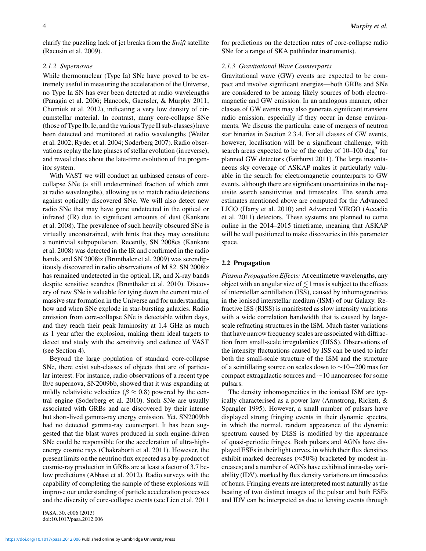clarify the puzzling lack of jet breaks from the *Swift* satellite (Racusin et al. 2009).

# *2.1.2 Supernovae*

While thermonuclear (Type Ia) SNe have proved to be extremely useful in measuring the acceleration of the Universe, no Type Ia SN has ever been detected at radio wavelengths (Panagia et al. 2006; Hancock, Gaensler, & Murphy 2011; Chomiuk et al. 2012), indicating a very low density of circumstellar material. In contrast, many core-collapse SNe (those of Type Ib, Ic, and the various Type II sub-classes) have been detected and monitored at radio wavelengths (Weiler et al. 2002; Ryder et al. 2004; Soderberg 2007). Radio observations replay the late phases of stellar evolution (in reverse), and reveal clues about the late-time evolution of the progenitor system.

With VAST we will conduct an unbiased census of corecollapse SNe (a still undetermined fraction of which emit at radio wavelengths), allowing us to match radio detections against optically discovered SNe. We will also detect new radio SNe that may have gone undetected in the optical or infrared (IR) due to significant amounts of dust (Kankare et al. 2008). The prevalence of such heavily obscured SNe is virtually unconstrained, with hints that they may constitute a nontrivial subpopulation. Recently, SN 2008cs (Kankare et al. 2008) was detected in the IR and confirmed in the radio bands, and SN 2008iz (Brunthaler et al. 2009) was serendipitously discovered in radio observations of M 82. SN 2008iz has remained undetected in the optical, IR, and X-ray bands despite sensitive searches (Brunthaler et al. 2010). Discovery of new SNe is valuable for tying down the current rate of massive star formation in the Universe and for understanding how and when SNe explode in star-bursting galaxies. Radio emission from core-collapse SNe is detectable within days, and they reach their peak luminosity at 1.4 GHz as much as 1 year after the explosion, making them ideal targets to detect and study with the sensitivity and cadence of VAST (see Section 4).

Beyond the large population of standard core-collapse SNe, there exist sub-classes of objects that are of particular interest. For instance, radio observations of a recent type Ib/c supernova, SN2009bb, showed that it was expanding at mildly relativistic velocities ( $\beta \approx 0.8$ ) powered by the central engine (Soderberg et al. 2010). Such SNe are usually associated with GRBs and are discovered by their intense but short-lived gamma-ray energy emission. Yet, SN2009bb had no detected gamma-ray counterpart. It has been suggested that the blast waves produced in such engine-driven SNe could be responsible for the acceleration of ultra-highenergy cosmic rays (Chakraborti et al. 2011). However, the present limits on the neutrino flux expected as a by-product of cosmic-ray production in GRBs are at least a factor of 3.7 below predictions (Abbasi et al. 2012). Radio surveys with the capability of completing the sample of these explosions will improve our understanding of particle acceleration processes and the diversity of core-collapse events (see Lien et al. 2011

PASA, 30, e006 (2013) doi:10.1017/pasa.2012.006 for predictions on the detection rates of core-collapse radio SNe for a range of SKA pathfinder instruments).

# *2.1.3 Gravitational Wave Counterparts*

Gravitational wave (GW) events are expected to be compact and involve significant energies—both GRBs and SNe are considered to be among likely sources of both electromagnetic and GW emission. In an analogous manner, other classes of GW events may also generate significant transient radio emission, especially if they occur in dense environments. We discuss the particular case of mergers of neutron star binaries in Section 2.3.4. For all classes of GW events, however, localisation will be a significant challenge, with search areas expected to be of the order of  $10-100 \text{ deg}^2$  for planned GW detectors (Fairhurst 2011). The large instantaneous sky coverage of ASKAP makes it particularly valuable in the search for electromagnetic counterparts to GW events, although there are significant uncertainties in the requisite search sensitivities and timescales. The search area estimates mentioned above are computed for the Advanced LIGO (Harry et al. 2010) and Advanced VIRGO (Accadia et al. 2011) detectors. These systems are planned to come online in the 2014–2015 timeframe, meaning that ASKAP will be well positioned to make discoveries in this parameter space.

# **2.2 Propagation**

*Plasma Propagation Effects:* At centimetre wavelengths, any object with an angular size of  $\lesssim$ 1 mas is subject to the effects of interstellar scintillation (ISS), caused by inhomogeneities in the ionised interstellar medium (ISM) of our Galaxy. Refractive ISS (RISS) is manifested as slow intensity variations with a wide correlation bandwidth that is caused by largescale refracting structures in the ISM. Much faster variations that have narrow frequency scales are associated with diffraction from small-scale irregularities (DISS). Observations of the intensity fluctuations caused by ISS can be used to infer both the small-scale structure of the ISM and the structure of a scintillating source on scales down to ∼10−200 mas for compact extragalactic sources and ∼10 nanoarcsec for some pulsars.

The density inhomogeneities in the ionised ISM are typically characterised as a power law (Armstrong, Rickett, & Spangler 1995). However, a small number of pulsars have displayed strong fringing events in their dynamic spectra, in which the normal, random appearance of the dynamic spectrum caused by DISS is modified by the appearance of quasi-periodic fringes. Both pulsars and AGNs have displayed ESEs in their light curves, in which their flux densities exhibit marked decreases ( $\approx$ 50%) bracketed by modest increases; and a number of AGNs have exhibited intra-day variability (IDV), marked by flux density variations on timescales of hours. Fringing events are interpreted most naturally as the beating of two distinct images of the pulsar and both ESEs and IDV can be interpreted as due to lensing events through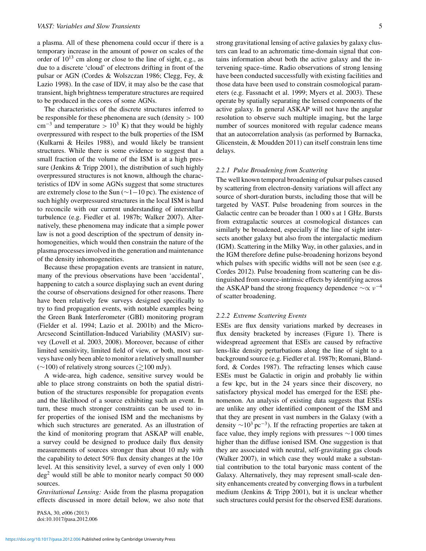a plasma. All of these phenomena could occur if there is a temporary increase in the amount of power on scales of the order of  $10^{13}$  cm along or close to the line of sight, e.g., as due to a discrete 'cloud' of electrons drifting in front of the pulsar or AGN (Cordes & Wolszczan 1986; Clegg, Fey, & Lazio 1998). In the case of IDV, it may also be the case that transient, high brightness temperature structures are required to be produced in the cores of some AGNs.

The characteristics of the discrete structures inferred to be responsible for these phenomena are such (density  $> 100$ )  $cm^{-3}$  and temperature > 10<sup>3</sup> K) that they would be highly overpressured with respect to the bulk properties of the ISM (Kulkarni & Heiles 1988), and would likely be transient structures. While there is some evidence to suggest that a small fraction of the volume of the ISM is at a high pressure (Jenkins & Tripp 2001), the distribution of such highly overpressured structures is not known, although the characteristics of IDV in some AGNs suggest that some structures are extremely close to the Sun ( $\sim$ 1−10 pc). The existence of such highly overpressured structures in the local ISM is hard to reconcile with our current understanding of interstellar turbulence (e.g. Fiedler et al. 1987b; Walker 2007). Alternatively, these phenomena may indicate that a simple power law is not a good description of the spectrum of density inhomogeneities, which would then constrain the nature of the plasma processes involved in the generation and maintenance of the density inhomogeneities.

Because these propagation events are transient in nature, many of the previous observations have been 'accidental', happening to catch a source displaying such an event during the course of observations designed for other reasons. There have been relatively few surveys designed specifically to try to find propagation events, with notable examples being the Green Bank Interferometer (GBI) monitoring program (Fielder et al. 1994; Lazio et al. 2001b) and the Micro-Arcsecond Scintillation-Induced Variability (MASIV) survey (Lovell et al. 2003, 2008). Moreover, because of either limited sensitivity, limited field of view, or both, most surveys have only been able to monitor a relatively small number  $(\sim 100)$  of relatively strong sources ( $\gtrsim 100$  mJy).

A wide-area, high cadence, sensitive survey would be able to place strong constraints on both the spatial distribution of the structures responsible for propagation events and the likelihood of a source exhibiting such an event. In turn, these much stronger constraints can be used to infer properties of the ionised ISM and the mechanisms by which such structures are generated. As an illustration of the kind of monitoring program that ASKAP will enable, a survey could be designed to produce daily flux density measurements of sources stronger than about 10 mJy with the capability to detect 50% flux density changes at the  $10\sigma$ level. At this sensitivity level, a survey of even only 1 000  $\text{deg}^2$  would still be able to monitor nearly compact 50 000 sources.

*Gravitational Lensing:* Aside from the plasma propagation effects discussed in more detail below, we also note that

PASA, 30, e006 (2013) doi:10.1017/pasa.2012.006 strong gravitational lensing of active galaxies by galaxy clusters can lead to an achromatic time-domain signal that contains information about both the active galaxy and the intervening space–time. Radio observations of strong lensing have been conducted successfully with existing facilities and those data have been used to constrain cosmological parameters (e.g. Fassnacht et al. 1999; Myers et al. 2003). These operate by spatially separating the lensed components of the active galaxy. In general ASKAP will not have the angular resolution to observe such multiple imaging, but the large number of sources monitored with regular cadence means that an autocorrelation analysis (as performed by Barnacka, Glicenstein, & Moudden 2011) can itself constrain lens time delays.

## *2.2.1 Pulse Broadening from Scattering*

The well known temporal broadening of pulsar pulses caused by scattering from electron-density variations will affect any source of short-duration bursts, including those that will be targeted by VAST. Pulse broadening from sources in the Galactic centre can be broader than 1 000 s at 1 GHz. Bursts from extragalactic sources at cosmological distances can similarly be broadened, especially if the line of sight intersects another galaxy but also from the intergalactic medium (IGM). Scattering in the Milky Way, in other galaxies, and in the IGM therefore define pulse-broadening horizons beyond which pulses with specific widths will not be seen (see e.g. Cordes 2012). Pulse broadening from scattering can be distinguished from source-intrinsic effects by identifying across the ASKAP band the strong frequency dependence  $\sim \propto v^{-4}$ of scatter broadening.

#### *2.2.2 Extreme Scattering Events*

ESEs are flux density variations marked by decreases in flux density bracketed by increases (Figure 1). There is widespread agreement that ESEs are caused by refractive lens-like density perturbations along the line of sight to a background source (e.g. Fiedler et al. 1987b; Romani, Blandford, & Cordes 1987). The refracting lenses which cause ESEs must be Galactic in origin and probably lie within a few kpc, but in the 24 years since their discovery, no satisfactory physical model has emerged for the ESE phenomenon. An analysis of existing data suggests that ESEs are unlike any other identified component of the ISM and that they are present in vast numbers in the Galaxy (with a density  $\sim$ 10<sup>3</sup> pc<sup>-3</sup>). If the refracting properties are taken at face value, they imply regions with pressures ∼1 000 times higher than the diffuse ionised ISM. One suggestion is that they are associated with neutral, self-gravitating gas clouds (Walker 2007), in which case they would make a substantial contribution to the total baryonic mass content of the Galaxy. Alternatively, they may represent small-scale density enhancements created by converging flows in a turbulent medium (Jenkins & Tripp 2001), but it is unclear whether such structures could persist for the observed ESE durations.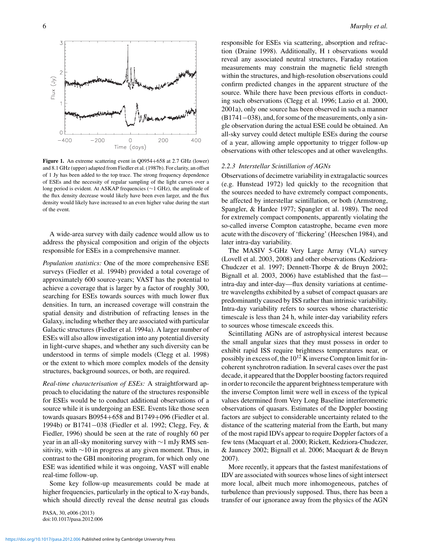

Figure 1. An extreme scattering event in Q0954+658 at 2.7 GHz (lower) and 8.1 GHz (upper) adapted from Fiedler et al. (1987b). For clarity, an offset of 1 Jy has been added to the top trace. The strong frequency dependence of ESEs and the necessity of regular sampling of the light curves over a long period is evident. At ASKAP frequencies (∼1 GHz), the amplitude of the flux density decrease would likely have been even larger, and the flux density would likely have increased to an even higher value during the start of the event.

A wide-area survey with daily cadence would allow us to address the physical composition and origin of the objects responsible for ESEs in a comprehensive manner.

*Population statistics:* One of the more comprehensive ESE surveys (Fiedler et al. 1994b) provided a total coverage of approximately 600 source-years; VAST has the potential to achieve a coverage that is larger by a factor of roughly 300, searching for ESEs towards sources with much lower flux densities. In turn, an increased coverage will constrain the spatial density and distribution of refracting lenses in the Galaxy, including whether they are associated with particular Galactic structures (Fiedler et al. 1994a). A larger number of ESEs will also allow investigation into any potential diversity in light-curve shapes, and whether any such diversity can be understood in terms of simple models (Clegg et al. 1998) or the extent to which more complex models of the density structures, background sources, or both, are required.

*Real-time characterisation of ESEs:* A straightforward approach to elucidating the nature of the structures responsible for ESEs would be to conduct additional observations of a source while it is undergoing an ESE. Events like those seen towards quasars B0954+658 and B1749+096 (Fiedler et al. 1994b) or B1741−038 (Fiedler et al. 1992; Clegg, Fey, & Fiedler, 1996) should be seen at the rate of roughly 60 per year in an all-sky monitoring survey with ∼1 mJy RMS sensitivity, with  $\sim$ 10 in progress at any given moment. Thus, in contrast to the GBI monitoring program, for which only one ESE was identified while it was ongoing, VAST will enable real-time follow-up.

Some key follow-up measurements could be made at higher frequencies, particularly in the optical to X-ray bands, which should directly reveal the dense neutral gas clouds

PASA, 30, e006 (2013) doi:10.1017/pasa.2012.006 responsible for ESEs via scattering, absorption and refraction (Draine 1998). Additionally, H i observations would reveal any associated neutral structures, Faraday rotation measurements may constrain the magnetic field strength within the structures, and high-resolution observations could confirm predicted changes in the apparent structure of the source. While there have been previous efforts in conducting such observations (Clegg et al. 1996; Lazio et al. 2000, 2001a), only one source has been observed in such a manner (B1741−038), and, for some of the measurements, only a single observation during the actual ESE could be obtained. An all-sky survey could detect multiple ESEs during the course of a year, allowing ample opportunity to trigger follow-up observations with other telescopes and at other wavelengths.

#### *2.2.3 Interstellar Scintillation of AGNs*

Observations of decimetre variability in extragalactic sources (e.g. Hunstead 1972) led quickly to the recognition that the sources needed to have extremely compact components, be affected by interstellar scintillation, or both (Armstrong, Spangler, & Hardee 1977; Spangler et al. 1989). The need for extremely compact components, apparently violating the so-called inverse Compton catastrophe, became even more acute with the discovery of 'flickering' (Heeschen 1984), and later intra-day variability.

The MASIV 5-GHz Very Large Array (VLA) survey (Lovell et al. 2003, 2008) and other observations (Kedziora-Chudczer et al. 1997; Dennett-Thorpe & de Bruyn 2002; Bignall et al. 2003, 2006) have established that the fast intra-day and inter-day—flux density variations at centimetre wavelengths exhibited by a subset of compact quasars are predominantly caused by ISS rather than intrinsic variability. Intra-day variability refers to sources whose characteristic timescale is less than 24 h, while inter-day variability refers to sources whose timescale exceeds this.

Scintillating AGNs are of astrophysical interest because the small angular sizes that they must possess in order to exhibit rapid ISS require brightness temperatures near, or possibly in excess of, the  $10^{12}$  K inverse Compton limit for incoherent synchrotron radiation. In several cases over the past decade, it appeared that the Doppler boosting factors required in order to reconcile the apparent brightness temperature with the inverse Compton limit were well in excess of the typical values determined from Very Long Baseline interferometric observations of quasars. Estimates of the Doppler boosting factors are subject to considerable uncertainty related to the distance of the scattering material from the Earth, but many of the most rapid IDVs appear to require Doppler factors of a few tens (Macquart et al. 2000; Rickett, Kedziora-Chudczer, & Jauncey 2002; Bignall et al. 2006; Macquart & de Bruyn 2007).

More recently, it appears that the fastest manifestations of IDV are associated with sources whose lines of sight intersect more local, albeit much more inhomogeneous, patches of turbulence than previously supposed. Thus, there has been a transfer of our ignorance away from the physics of the AGN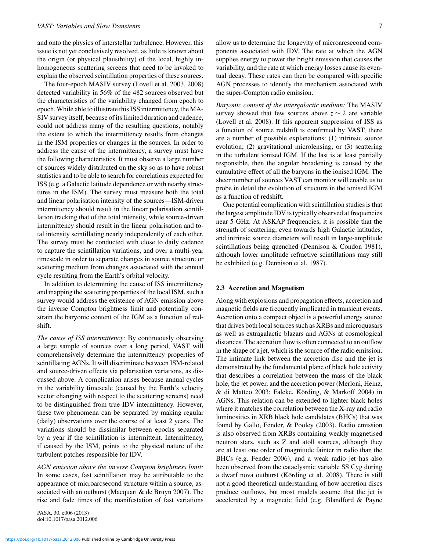and onto the physics of interstellar turbulence. However, this issue is not yet conclusively resolved, as little is known about the origin (or physical plausibility) of the local, highly inhomogeneous scattering screens that need to be invoked to explain the observed scintillation properties of these sources.

The four-epoch MASIV survey (Lovell et al. 2003, 2008) detected variability in 56% of the 482 sources observed but the characteristics of the variability changed from epoch to epoch. While able to illustrate this ISS intermittency, the MA-SIV survey itself, because of its limited duration and cadence, could not address many of the resulting questions, notably the extent to which the intermittency results from changes in the ISM properties or changes in the sources. In order to address the cause of the intermittency, a survey must have the following characteristics. It must observe a large number of sources widely distributed on the sky so as to have robust statistics and to be able to search for correlations expected for ISS (e.g. a Galactic latitude dependence or with nearby structures in the ISM). The survey must measure both the total and linear polarisation intensity of the sources—ISM-driven intermittency should result in the linear polarisation scintillation tracking that of the total intensity, while source-driven intermittency should result in the linear polarisation and total intensity scintillating nearly independently of each other. The survey must be conducted with close to daily cadence to capture the scintillation variations, and over a multi-year timescale in order to separate changes in source structure or scattering medium from changes associated with the annual cycle resulting from the Earth's orbital velocity.

In addition to determining the cause of ISS intermittency and mapping the scattering properties of the local ISM, such a survey would address the existence of AGN emission above the inverse Compton brightness limit and potentially constrain the baryonic content of the IGM as a function of redshift.

*The cause of ISS intermittency:* By continuously observing a large sample of sources over a long period, VAST will comprehensively determine the intermittency properties of scintillating AGNs. It will discriminate between ISM-related and source-driven effects via polarisation variations, as discussed above. A complication arises because annual cycles in the variability timescale (caused by the Earth's velocity vector changing with respect to the scattering screens) need to be distinguished from true IDV intermittency. However, these two phenomena can be separated by making regular (daily) observations over the course of at least 2 years. The variations should be dissimilar between epochs separated by a year if the scintillation is intermittent. Intermittency, if caused by the ISM, points to the physical nature of the turbulent patches responsible for IDV.

*AGN emission above the inverse Compton brightness limit:* In some cases, fast scintillation may be attributable to the appearance of microarcsecond structure within a source, associated with an outburst (Macquart & de Bruyn 2007). The rise and fade times of the manifestation of fast variations

PASA, 30, e006 (2013) doi:10.1017/pasa.2012.006 allow us to determine the longevity of microarcsecond components associated with IDV. The rate at which the AGN supplies energy to power the bright emission that causes the variability, and the rate at which energy losses cause its eventual decay. These rates can then be compared with specific AGN processes to identify the mechanism associated with the super-Compton radio emission.

*Baryonic content of the intergalactic medium:* The MASIV survey showed that few sources above  $z \sim 2$  are variable (Lovell et al. 2008). If this apparent suppression of ISS as a function of source redshift is confirmed by VAST, there are a number of possible explanations: (1) intrinsic source evolution; (2) gravitational microlensing; or (3) scattering in the turbulent ionised IGM. If the last is at least partially responsible, then the angular broadening is caused by the cumulative effect of all the baryons in the ionised IGM. The sheer number of sources VAST can monitor will enable us to probe in detail the evolution of structure in the ionised IGM as a function of redshift.

One potential complication with scintillation studies is that the largest amplitude IDV is typically observed at frequencies near 5 GHz. At ASKAP frequencies, it is possible that the strength of scattering, even towards high Galactic latitudes, and intrinsic source diameters will result in large-amplitude scintillations being quenched (Dennison & Condon 1981), although lower amplitude refractive scintillations may still be exhibited (e.g. Dennison et al. 1987).

## **2.3 Accretion and Magnetism**

Along with explosions and propagation effects, accretion and magnetic fields are frequently implicated in transient events. Accretion onto a compact object is a powerful energy source that drives both local sources such as XRBs and microquasars as well as extragalactic blazars and AGNs at cosmological distances. The accretion flow is often connected to an outflow in the shape of a jet, which is the source of the radio emission. The intimate link between the accretion disc and the jet is demonstrated by the fundamental plane of black hole activity that describes a correlation between the mass of the black hole, the jet power, and the accretion power (Merloni, Heinz,  $&$  di Matteo 2003; Falcke, Körding,  $&$  Markoff 2004) in AGNs. This relation can be extended to lighter black holes where it matches the correlation between the X-ray and radio luminosities in XRB black hole candidates (BHCs) that was found by Gallo, Fender, & Pooley (2003). Radio emission is also observed from XRBs containing weakly magnetised neutron stars, such as Z and atoll sources, although they are at least one order of magnitude fainter in radio than the BHCs (e.g. Fender 2006), and a weak radio jet has also been observed from the cataclysmic variable SS Cyg during a dwarf nova outburst (Körding et al. 2008). There is still not a good theoretical understanding of how accretion discs produce outflows, but most models assume that the jet is accelerated by a magnetic field (e.g. Blandford & Payne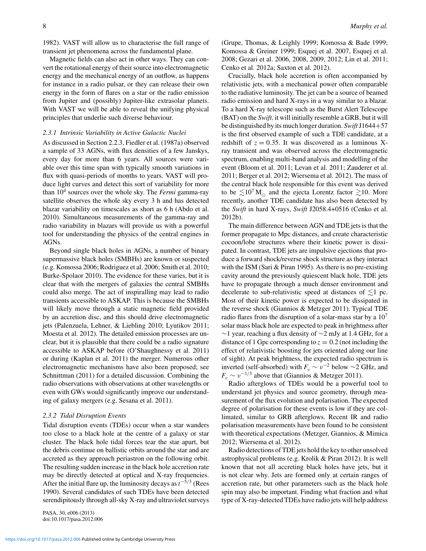1982). VAST will allow us to characterise the full range of transient jet phenomena across the fundamental plane.

Magnetic fields can also act in other ways. They can convert the rotational energy of their source into electromagnetic energy and the mechanical energy of an outflow, as happens for instance in a radio pulsar, or they can release their own energy in the form of flares on a star or the radio emission from Jupiter and (possibly) Jupiter-like extrasolar planets. With VAST we will be able to reveal the unifying physical principles that underlie such diverse behaviour.

# *2.3.1 Intrinsic Variability in Active Galactic Nuclei*

As discussed in Section 2.2.3, Fiedler et al. (1987a) observed a sample of 33 AGNs, with flux densities of a few Janskys, every day for more than 6 years. All sources were variable over this time span with typically smooth variations in flux with quasi-periods of months to years. VAST will produce light curves and detect this sort of variability for more than 104 sources over the whole sky. The *Fermi* gamma-ray satellite observes the whole sky every 3 h and has detected blazar variability on timescales as short as 6 h (Abdo et al. 2010). Simultaneous measurements of the gamma-ray and radio variability in blazars will provide us with a powerful tool for understanding the physics of the central engines in AGNs.

Beyond single black holes in AGNs, a number of binary supermassive black holes (SMBHs) are known or suspected (e.g. Komossa 2006; Rodriguez et al. 2006; Smith et al. 2010; Burke-Spolaor 2010). The evidence for these varies, but it is clear that with the mergers of galaxies the central SMBHs could also merge. The act of inspiralling may lead to radio transients accessible to ASKAP. This is because the SMBHs will likely move through a static magnetic field provided by an accretion disc, and this should drive electromagnetic jets (Palenzuela, Lehner, & Liebling 2010; Lyutikov 2011; Moesta et al. 2012). The detailed emission processes are unclear, but it is plausible that there could be a radio signature accessible to ASKAP before (O'Shaughnessy et al. 2011) or during (Kaplan et al. 2011) the merger. Numerous other electromagnetic mechanisms have also been proposed; see Schnittman (2011) for a detailed discussion. Combining the radio observations with observations at other wavelengths or even with GWs would significantly improve our understanding of galaxy mergers (e.g. Sesana et al. 2011).

#### *2.3.2 Tidal Disruption Events*

Tidal disruption events (TDEs) occur when a star wanders too close to a black hole at the centre of a galaxy or star cluster. The black hole tidal forces tear the star apart, but the debris continue on ballistic orbits around the star and are accreted as they approach periastron on the following orbit. The resulting sudden increase in the black hole accretion rate may be directly detected at optical and X-ray frequencies. After the initial flare up, the luminosity decays as  $t^{-5/3}$  (Rees 1990). Several candidates of such TDEs have been detected serendipitously through all-sky X-ray and ultraviolet surveys

PASA, 30, e006 (2013) doi:10.1017/pasa.2012.006 (Grupe, Thomas, & Leighly 1999; Komossa & Bade 1999; Komossa & Greiner 1999; Esquej et al. 2007, Esquej et al. 2008; Gezari et al. 2006, 2008, 2009, 2012; Lin et al. 2011; Cenko et al. 2012a; Saxton et al. 2012).

Crucially, black hole accretion is often accompanied by relativistic jets, with a mechanical power often comparable to the radiative luminosity. The jet can be a source of beamed radio emission and hard X-rays in a way similar to a blazar. To a hard X-ray telescope such as the Burst Alert Telescope (BAT) on the *Swift,* it will initially resemble a GRB, but it will be distinguished by its much longer duration. *Swift*J1644+57 is the first observed example of such a TDE candidate, at a redshift of  $z = 0.35$ . It was discovered as a luminous Xray transient and was observed across the electromagnetic spectrum, enabling multi-band analysis and modelling of the event (Bloom et al. 2011; Levan et al. 2011; Zauderer et al. 2011; Berger et al. 2012; Wiersema et al. 2012). The mass of the central black hole responsible for this event was derived to be  $\lesssim 10^7 \text{ M}_{\odot}$  and the ejecta Lorentz factor  $\gtrsim 10$ . More recently, another TDE candidate has also been detected by the *Swift* in hard X-rays, *Swift* J2058.4+0516 (Cenko et al. 2012b).

The main difference between AGN and TDE jets is that the former propagate to Mpc distances, and create characteristic cocoon/lobe structures where their kinetic power is dissipated. In contrast, TDE jets are impulsive ejections that produce a forward shock/reverse shock structure as they interact with the ISM (Sari & Piran 1995). As there is no pre-existing cavity around the previously quiescent black hole, TDE jets have to propagate through a much denser environment and decelerate to sub-relativistic speed at distances of  $\lesssim$ 1 pc. Most of their kinetic power is expected to be dissipated in the reverse shock (Giannios & Metzger 2011). Typical TDE radio flares from the disruption of a solar-mass star by a  $10<sup>7</sup>$ solar mass black hole are expected to peak in brightness after  $\sim$ 1 year, reaching a flux density of  $\sim$ 2 mJy at 1.4 GHz, for a distance of 1 Gpc corresponding to  $z = 0.2$  (not including the effect of relativistic boosting for jets oriented along our line of sight). At peak brightness, the expected radio spectrum is inverted (self-absorbed) with  $F_v \sim v^{-2}$  below  $\sim 2$  GHz, and  $F_v \sim v^{-1/3}$  above that (Giannios & Metzger 2011).

Radio afterglows of TDEs would be a powerful tool to understand jet physics and source geometry, through measurement of the flux evolution and polarisation. The expected degree of polarisation for these events is low if they are collimated, similar to GRB afterglows. Recent IR and radio polarisation measurements have been found to be consistent with theoretical expectations (Metzger, Giannios, & Mimica 2012; Wiersema et al. 2012).

Radio detections of TDE jets hold the key to other unsolved astrophysical problems (e.g. Krolik & Piran 2012). It is well known that not all accreting black holes have jets, but it is not clear why. Jets are formed only at certain ranges of accretion rate, but other parameters such as the black hole spin may also be important. Finding what fraction and what type of X-ray-detected TDEs have radio jets will help address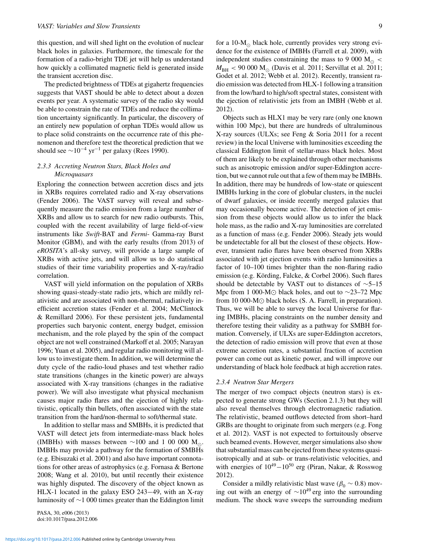this question, and will shed light on the evolution of nuclear black holes in galaxies. Furthermore, the timescale for the formation of a radio-bright TDE jet will help us understand how quickly a collimated magnetic field is generated inside the transient accretion disc.

The predicted brightness of TDEs at gigahertz frequencies suggests that VAST should be able to detect about a dozen events per year. A systematic survey of the radio sky would be able to constrain the rate of TDEs and reduce the collimation uncertainty significantly. In particular, the discovery of an entirely new population of orphan TDEs would allow us to place solid constraints on the occurrence rate of this phenomenon and therefore test the theoretical prediction that we should see  $\sim$ 10<sup>-4</sup> yr<sup>-1</sup> per galaxy (Rees 1990).

# *2.3.3 Accreting Neutron Stars, Black Holes and Microquasars*

Exploring the connection between accretion discs and jets in XRBs requires correlated radio and X-ray observations (Fender 2006). The VAST survey will reveal and subsequently measure the radio emission from a large number of XRBs and allow us to search for new radio outbursts. This, coupled with the recent availability of large field-of-view instruments like *Swift*-BAT and *Fermi*- Gamma-ray Burst Monitor (GBM), and with the early results (from 2013) of *eROSITA*'s all-sky survey, will provide a large sample of XRBs with active jets, and will allow us to do statistical studies of their time variability properties and X-ray/radio correlation.

VAST will yield information on the population of XRBs showing quasi-steady-state radio jets, which are mildly relativistic and are associated with non-thermal, radiatively inefficient accretion states (Fender et al. 2004; McClintock & Remillard 2006). For these persistent jets, fundamental properties such baryonic content, energy budget, emission mechanism, and the role played by the spin of the compact object are not well constrained (Markoff et al. 2005; Narayan 1996; Yuan et al. 2005), and regular radio monitoring will allow us to investigate them. In addition, we will determine the duty cycle of the radio-loud phases and test whether radio state transitions (changes in the kinetic power) are always associated with X-ray transitions (changes in the radiative power). We will also investigate what physical mechanism causes major radio flares and the ejection of highly relativistic, optically thin bullets, often associated with the state transition from the hard/non-thermal to soft/thermal state.

In addition to stellar mass and SMBHs, it is predicted that VAST will detect jets from intermediate-mass black holes (IMBHs) with masses between  $\sim$ 100 and 1 00 000 M. IMBHs may provide a pathway for the formation of SMBHs (e.g. Ebisuzaki et al. 2001) and also have important connotations for other areas of astrophysics (e.g. Fornasa & Bertone 2008; Wang et al. 2010), but until recently their existence was highly disputed. The discovery of the object known as HLX-1 located in the galaxy ESO 243−49, with an X-ray luminosity of ∼1 000 times greater than the Eddington limit

PASA, 30, e006 (2013) doi:10.1017/pasa.2012.006 for a 10- $M_{\odot}$  black hole, currently provides very strong evidence for the existence of IMBHs (Farrell et al. 2009), with independent studies constraining the mass to 9 000 M<sub>o</sub> <  $M_{\text{BH}}$  < 90 000 M<sub>\odot</sub> (Davis et al. 2011; Servillat et al. 2011; Godet et al. 2012; Webb et al. 2012). Recently, transient radio emission was detected from HLX-1 following a transition from the low/hard to high/soft spectral states, consistent with the ejection of relativistic jets from an IMBH (Webb et al. 2012).

Objects such as HLX1 may be very rare (only one known within 100 Mpc), but there are hundreds of ultraluminous X-ray sources (ULXs; see Feng & Soria 2011 for a recent review) in the local Universe with luminosities exceeding the classical Eddington limit of stellar-mass black holes. Most of them are likely to be explained through other mechanisms such as anisotropic emission and/or super-Eddington accretion, but we cannot rule out that a few of them may be IMBHs. In addition, there may be hundreds of low-state or quiescent IMBHs lurking in the core of globular clusters, in the nuclei of dwarf galaxies, or inside recently merged galaxies that may occasionally become active. The detection of jet emission from these objects would allow us to infer the black hole mass, as the radio and X-ray luminosities are correlated as a function of mass (e.g. Fender 2006). Steady jets would be undetectable for all but the closest of these objects. However, transient radio flares have been observed from XRBs associated with jet ejection events with radio luminosities a factor of 10–100 times brighter than the non-flaring radio emission (e.g. Körding, Falcke, & Corbel 2006). Such flares should be detectable by VAST out to distances of ∼5–15 Mpc from 1 000-M⊙ black holes, and out to  $\sim$ 23–72 Mpc from 10 000-M $\odot$  black holes (S. A. Farrell, in preparation). Thus, we will be able to survey the local Universe for flaring IMBHs, placing constraints on the number density and therefore testing their validity as a pathway for SMBH formation. Conversely, if ULXs are super-Eddington accretors, the detection of radio emission will prove that even at those extreme accretion rates, a substantial fraction of accretion power can come out as kinetic power, and will improve our understanding of black hole feedback at high accretion rates.

#### *2.3.4 Neutron Star Mergers*

The merger of two compact objects (neutron stars) is expected to generate strong GWs (Section 2.1.3) but they will also reveal themselves through electromagnetic radiation. The relativistic, beamed outflows detected from short–hard GRBs are thought to originate from such mergers (e.g. Fong et al. 2012). VAST is not expected to fortuitously observe such beamed events. However, merger simulations also show that substantial mass can be ejected from these systems quasiisotropically and at sub- or trans-relativistic velocities, and with energies of 10<sup>49</sup>−10<sup>50</sup> erg (Piran, Nakar, & Rosswog 2012).

Consider a mildly relativistic blast wave ( $\beta_0 \sim 0.8$ ) moving out with an energy of  $\sim 10^{49}$  erg into the surrounding medium. The shock wave sweeps the surrounding medium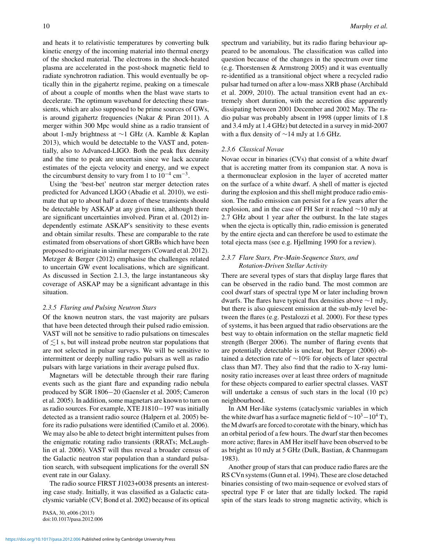and heats it to relativistic temperatures by converting bulk kinetic energy of the incoming material into thermal energy of the shocked material. The electrons in the shock-heated plasma are accelerated in the post-shock magnetic field to radiate synchrotron radiation. This would eventually be optically thin in the gigahertz regime, peaking on a timescale of about a couple of months when the blast wave starts to decelerate. The optimum waveband for detecting these transients, which are also supposed to be prime sources of GWs, is around gigahertz frequencies (Nakar & Piran 2011). A merger within 300 Mpc would shine as a radio transient of about 1-mJy brightness at ∼1 GHz (A. Kamble & Kaplan 2013), which would be detectable to the VAST and, potentially, also to Advanced-LIGO. Both the peak flux density and the time to peak are uncertain since we lack accurate estimates of the ejecta velocity and energy, and we expect the circumburst density to vary from 1 to  $10^{-4}$  cm<sup>-3</sup>.

Using the 'best-bet' neutron star merger detection rates predicted for Advanced LIGO (Abadie et al. 2010), we estimate that up to about half a dozen of these transients should be detectable by ASKAP at any given time, although there are significant uncertainties involved. Piran et al. (2012) independently estimate ASKAP's sensitivity to these events and obtain similar results. These are comparable to the rate estimated from observations of short GRBs which have been proposed to originate in similar mergers (Coward et al. 2012). Metzger & Berger (2012) emphasise the challenges related to uncertain GW event localisations, which are significant. As discussed in Section 2.1.3, the large instantaneous sky coverage of ASKAP may be a significant advantage in this situation.

#### *2.3.5 Flaring and Pulsing Neutron Stars*

Of the known neutron stars, the vast majority are pulsars that have been detected through their pulsed radio emission. VAST will not be sensitive to radio pulsations on timescales of  $\lesssim$ 1 s, but will instead probe neutron star populations that are not selected in pulsar surveys. We will be sensitive to intermittent or deeply nulling radio pulsars as well as radio pulsars with large variations in their average pulsed flux.

Magnetars will be detectable through their rare flaring events such as the giant flare and expanding radio nebula produced by SGR 1806−20 (Gaensler et al. 2005; Cameron et al. 2005). In addition, some magnetars are known to turn on as radio sources. For example, XTE J1810−197 was initially detected as a transient radio source (Halpern et al. 2005) before its radio pulsations were identified (Camilo et al. 2006). We may also be able to detect bright intermittent pulses from the enigmatic rotating radio transients (RRATs; McLaughlin et al. 2006). VAST will thus reveal a broader census of the Galactic neutron star population than a standard pulsation search, with subsequent implications for the overall SN event rate in our Galaxy.

The radio source FIRST J1023+0038 presents an interesting case study. Initially, it was classified as a Galactic cataclysmic variable (CV; Bond et al. 2002) because of its optical

PASA, 30, e006 (2013) doi:10.1017/pasa.2012.006 spectrum and variability, but its radio flaring behaviour appeared to be anomalous. The classification was called into question because of the changes in the spectrum over time (e.g. Thorstensen & Armstrong 2005) and it was eventually re-identified as a transitional object where a recycled radio pulsar had turned on after a low-mass XRB phase (Archibald et al. 2009, 2010). The actual transition event had an extremely short duration, with the accretion disc apparently dissipating between 2001 December and 2002 May. The radio pulsar was probably absent in 1998 (upper limits of 1.8 and 3.4 mJy at 1.4 GHz) but detected in a survey in mid-2007 with a flux density of ∼14 mJy at 1.6 GHz.

## *2.3.6 Classical Novae*

Novae occur in binaries (CVs) that consist of a white dwarf that is accreting matter from its companion star. A nova is a thermonuclear explosion in the layer of accreted matter on the surface of a white dwarf. A shell of matter is ejected during the explosion and this shell might produce radio emission. The radio emission can persist for a few years after the explosion, and in the case of FH Ser it reached ∼10 mJy at 2.7 GHz about 1 year after the outburst. In the late stages when the ejecta is optically thin, radio emission is generated by the entire ejecta and can therefore be used to estimate the total ejecta mass (see e.g. Hjellming 1990 for a review).

# *2.3.7 Flare Stars, Pre-Main-Sequence Stars, and Rotation-Driven Stellar Activity*

There are several types of stars that display large flares that can be observed in the radio band. The most common are cool dwarf stars of spectral type M or later including brown dwarfs. The flares have typical flux densities above ∼1 mJy, but there is also quiescent emission at the sub-mJy level between the flares (e.g. Pestalozzi et al. 2000). For these types of systems, it has been argued that radio observations are the best way to obtain information on the stellar magnetic field strength (Berger 2006). The number of flaring events that are potentially detectable is unclear, but Berger (2006) obtained a detection rate of ∼10% for objects of later spectral class than M7. They also find that the radio to X-ray luminosity ratio increases over at least three orders of magnitude for these objects compared to earlier spectral classes. VAST will undertake a census of such stars in the local (10 pc) neighbourhood.

In AM Her-like systems (cataclysmic variables in which the white dwarf has a surface magnetic field of  $\sim 10^3 - 10^4$  T), the M dwarfs are forced to corotate with the binary, which has an orbital period of a few hours. The dwarf star then becomes more active; flares in AM Her itself have been observed to be as bright as 10 mJy at 5 GHz (Dulk, Bastian, & Chanmugam 1983).

Another group of stars that can produce radio flares are the RS CVn systems (Gunn et al. 1994). These are close detached binaries consisting of two main-sequence or evolved stars of spectral type F or later that are tidally locked. The rapid spin of the stars leads to strong magnetic activity, which is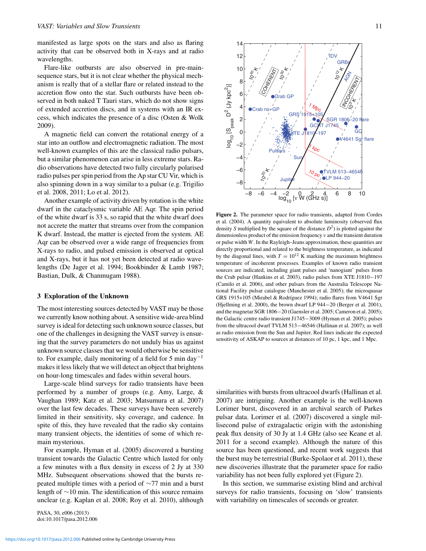manifested as large spots on the stars and also as flaring activity that can be observed both in X-rays and at radio wavelengths.

Flare-like outbursts are also observed in pre-mainsequence stars, but it is not clear whether the physical mechanism is really that of a stellar flare or related instead to the accretion flow onto the star. Such outbursts have been observed in both naked T Tauri stars, which do not show signs of extended accretion discs, and in systems with an IR excess, which indicates the presence of a disc (Osten & Wolk 2009).

A magnetic field can convert the rotational energy of a star into an outflow and electromagnetic radiation. The most well-known examples of this are the classical radio pulsars, but a similar phenomenon can arise in less extreme stars. Radio observations have detected two fully circularly polarised radio pulses per spin period from the Ap star CU Vir, which is also spinning down in a way similar to a pulsar (e.g. Trigilio et al. 2008, 2011; Lo et al. 2012).

Another example of activity driven by rotation is the white dwarf in the cataclysmic variable AE Aqr. The spin period of the white dwarf is 33 s, so rapid that the white dwarf does not accrete the matter that streams over from the companion K dwarf. Instead, the matter is ejected from the system. AE Aqr can be observed over a wide range of frequencies from X-rays to radio, and pulsed emission is observed at optical and X-rays, but it has not yet been detected at radio wavelengths (De Jager et al. 1994; Bookbinder & Lamb 1987; Bastian, Dulk, & Chanmugam 1988).

#### **3 Exploration of the Unknown**

The most interesting sources detected by VAST may be those we currently know nothing about. A sensitive wide-area blind survey is ideal for detecting such unknown source classes, but one of the challenges in designing the VAST survey is ensuring that the survey parameters do not unduly bias us against unknown source classes that we would otherwise be sensitive to. For example, daily monitoring of a field for 5 min day<sup>-1</sup> makes it less likely that we will detect an object that brightens on hour-long timescales and fades within several hours.

Large-scale blind surveys for radio transients have been performed by a number of groups (e.g. Amy, Large, & Vaughan 1989; Katz et al. 2003; Matsumura et al. 2007) over the last few decades. These surveys have been severely limited in their sensitivity, sky coverage, and cadence. In spite of this, they have revealed that the radio sky contains many transient objects, the identities of some of which remain mysterious.

For example, Hyman et al. (2005) discovered a bursting transient towards the Galactic Centre which lasted for only a few minutes with a flux density in excess of 2 Jy at 330 MHz. Subsequent observations showed that the bursts repeated multiple times with a period of ∼77 min and a burst length of ∼10 min. The identification of this source remains unclear (e.g. Kaplan et al. 2008; Roy et al. 2010), although

PASA, 30, e006 (2013) doi:10.1017/pasa.2012.006



**Figure 2.** The parameter space for radio transients, adapted from Cordes et al. (2004). A quantity equivalent to absolute luminosity (observed flux density *S* multiplied by the square of the distance  $D^2$ ) is plotted against the dimensionless product of the emission frequency ν and the transient duration or pulse width *W*. In the Rayleigh–Jeans approximation, these quantities are directly proportional and related to the brightness temperature, as indicated by the diagonal lines, with  $T = 10^{12}$  K marking the maximum brightness temperature of incoherent processes. Examples of known radio transient sources are indicated, including giant pulses and 'nanogiant' pulses from the Crab pulsar (Hankins et al. 2003), radio pulses from XTE J1810−197 (Camilo et al. 2006), and other pulsars from the Australia Telescope National Facility pulsar catalogue (Manchester et al. 2005); the microquasar GRS 1915+105 (Mirabel & Rodríguez 1994); radio flares from V4641 Sgr (Hjellming et al. 2000), the brown dwarf LP 944−20 (Berger et al. 2001), and the magnetar SGR 1806−20 (Gaensler et al. 2005; Cameron et al. 2005); the Galactic centre radio transient J1745−3009 (Hyman et al. 2005); pulses from the ultracool dwarf TVLM 513−46546 (Hallinan et al. 2007); as well as radio emission from the Sun and Jupiter. Red lines indicate the expected sensitivity of ASKAP to sources at distances of 10 pc, 1 kpc, and 1 Mpc.

similarities with bursts from ultracool dwarfs (Hallinan et al. 2007) are intriguing. Another example is the well-known Lorimer burst, discovered in an archival search of Parkes pulsar data. Lorimer et al. (2007) discovered a single millisecond pulse of extragalactic origin with the astonishing peak flux density of 30 Jy at 1.4 GHz (also see Keane et al. 2011 for a second example). Although the nature of this source has been questioned, and recent work suggests that the burst may be terrestrial (Burke-Spolaor et al. 2011), these new discoveries illustrate that the parameter space for radio variability has not been fully explored yet (Figure 2).

In this section, we summarise existing blind and archival surveys for radio transients, focusing on 'slow' transients with variability on timescales of seconds or greater.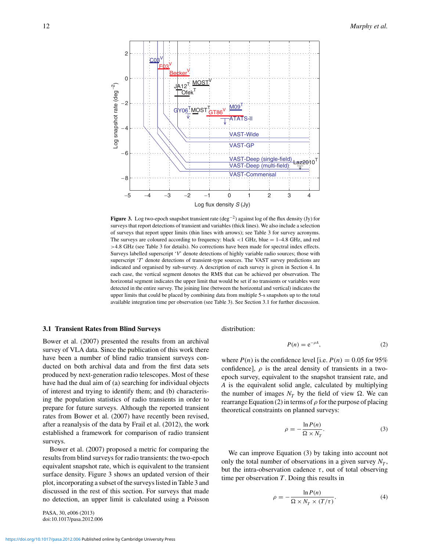

**Figure 3.** Log two-epoch snapshot transient rate (deg−2) against log of the flux density (Jy) for surveys that report detections of transient and variables (thick lines). We also include a selection of surveys that report upper limits (thin lines with arrows); see Table 3 for survey acronyms. The surveys are coloured according to frequency: black  $<$  1 GHz, blue = 1–4.8 GHz, and red >4.8 GHz (see Table 3 for details). No corrections have been made for spectral index effects. Surveys labelled superscript '*V*' denote detections of highly variable radio sources; those with superscript '*T*' denote detections of transient-type sources. The VAST survey predictions are indicated and organised by sub-survey. A description of each survey is given in Section 4. In each case, the vertical segment denotes the RMS that can be achieved per observation. The horizontal segment indicates the upper limit that would be set if no transients or variables were detected in the entire survey. The joining line (between the horizontal and vertical) indicates the upper limits that could be placed by combining data from multiple 5-s snapshots up to the total available integration time per observation (see Table 3). See Section 3.1 for further discussion.

# **3.1 Transient Rates from Blind Surveys**

Bower et al. (2007) presented the results from an archival survey of VLA data. Since the publication of this work there have been a number of blind radio transient surveys conducted on both archival data and from the first data sets produced by next-generation radio telescopes. Most of these have had the dual aim of (a) searching for individual objects of interest and trying to identify them; and (b) characterising the population statistics of radio transients in order to prepare for future surveys. Although the reported transient rates from Bower et al. (2007) have recently been revised, after a reanalysis of the data by Frail et al. (2012), the work established a framework for comparison of radio transient surveys.

Bower et al. (2007) proposed a metric for comparing the results from blind surveys for radio transients: the two-epoch equivalent snapshot rate, which is equivalent to the transient surface density. Figure 3 shows an updated version of their plot, incorporating a subset of the surveys listed in Table 3 and discussed in the rest of this section. For surveys that made no detection, an upper limit is calculated using a Poisson

PASA, 30, e006 (2013) doi:10.1017/pasa.2012.006

# distribution:

$$
P(n) = e^{-\rho A},\tag{2}
$$

where  $P(n)$  is the confidence level [i.e.  $P(n) = 0.05$  for 95% confidence],  $\rho$  is the areal density of transients in a twoepoch survey, equivalent to the snapshot transient rate, and *A* is the equivalent solid angle, calculated by multiplying the number of images  $N_T$  by the field of view  $\Omega$ . We can rearrange Equation (2) in terms of  $\rho$  for the purpose of placing theoretical constraints on planned surveys:

$$
\rho = -\frac{\ln P(n)}{\Omega \times N_T}.\tag{3}
$$

We can improve Equation (3) by taking into account not only the total number of observations in a given survey  $N_T$ , but the intra-observation cadence  $\tau$ , out of total observing time per observation *T*. Doing this results in

$$
\rho = -\frac{\ln P(n)}{\Omega \times N_T \times (T/\tau)}.
$$
\n(4)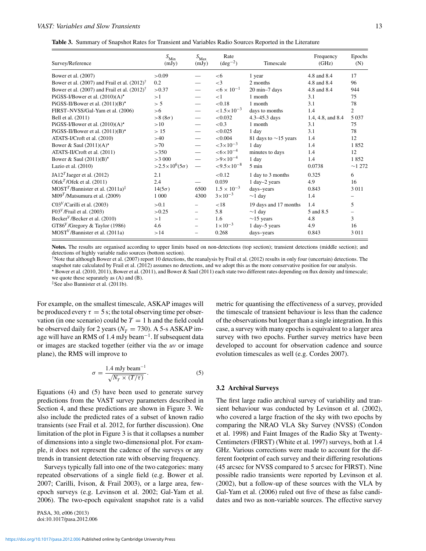**Table 3.** Summary of Snapshot Rates for Transient and Variables Radio Sources Reported in the Literature

| Survey/Reference                                         | $S_{\text{Min}}$<br>(mJy)   | $S_{\rm Max}$<br>(mJy)   | Rate<br>$(\text{deg}^{-2})$ | Timescale                  | Frequency<br>(GHz) | Epochs<br>(N)  |
|----------------------------------------------------------|-----------------------------|--------------------------|-----------------------------|----------------------------|--------------------|----------------|
| Bower et al. (2007)                                      | > 0.09                      |                          | $<$ 6                       | 1 year                     | 4.8 and 8.4        | 17             |
| Bower et al. (2007) and Frail et al. (2012) <sup>†</sup> | 0.2                         |                          | $\leq$ 3                    | 2 months                   | 4.8 and 8.4        | 96             |
| Bower et al. (2007) and Frail et al. (2012) <sup>†</sup> | > 0.37                      |                          | $< 6 \times 10^{-1}$        | 20 min-7 days              | 4.8 and 8.4        | 944            |
| PiGSS-I/Bower et al. $(2010)(A)^{\star}$                 | >1                          |                          | <1                          | 1 month                    | 3.1                | 75             |
| PiGSS-II/Bower et al. $(2011)(B)^*$                      | > 5                         |                          | < 0.18                      | 1 month                    | 3.1                | 78             |
| FIRST-NVSS/Gal-Yam et al. (2006)                         | >6                          |                          | $< 1.5 \times 10^{-3}$      | days to months             | 1.4                | $\overline{2}$ |
| Bell et al. (2011)                                       | $>8(8\sigma)$               |                          | < 0.032                     | $4.3 - 45.3$ days          | 1.4, 4.8, and 8.4  | 5 0 3 7        |
| PiGSS-I/Bower et al. $(2010)(A)^{\star}$                 | >10                         |                          | ${<}0.3$                    | 1 month                    | 3.1                | 75             |
| PiGSS-II/Bower et al. $(2011)(B)^*$                      | >15                         |                          | < 0.025                     | 1 day                      | 3.1                | 78             |
| ATATS-I/Croft et al. (2010)                              | >40                         |                          | < 0.004                     | 81 days to $\sim$ 15 years | 1.4                | 12             |
| Bower & Saul $(2011)(A)^{\star}$                         | >70                         |                          | $<3\times10^{-3}$           | 1 day                      | 1.4                | 1852           |
| ATATS-II/Croft et al. (2011)                             | >350                        |                          | $< 6 \times 10^{-4}$        | minutes to days            | 1.4                | 12             |
| Bower & Saul $(2011)(B)^{\star}$                         | >3000                       |                          | $> 9 \times 10^{-4}$        | 1 day                      | 1.4                | 1852           |
| Lazio et al. $(2010)$                                    | $>2.5\times10^{6}(5\sigma)$ |                          | $< 9.5 \times 10^{-8}$      | $5 \text{ min}$            | 0.0738             | $\sim$ 1272    |
| $JA12T$ Jaeger et al. (2012)                             | 2.1                         |                          | < 0.12                      | 1 day to 3 months          | 0.325              | 6              |
| Ofek <sup>T</sup> /Ofek et al. (2011)                    | 2.4                         |                          | 0.039                       | $1$ day $-2$ years         | 4.9                | 16             |
| $MOSTT/Bannister$ et al. (2011a) <sup>‡</sup>            | $14(5\sigma)$               | 6500                     | $1.5 \times 10^{-3}$        | days-years                 | 0.843              | 3 0 1 1        |
| $M09T/Matsumura et al. (2009)$                           | 1 0 0 0                     | 4300                     | $3 \times 10^{-3}$          | $\sim$ 1 day               | 1.4                |                |
| $C03V/Carilli$ et al. (2003)                             | > 0.1                       |                          | ${<}18$                     | 19 days and 17 months      | 1.4                | 5              |
| $F03V/Final$ et al. (2003)                               | > 0.25                      | $\overline{\phantom{0}}$ | 5.8                         | $\sim$ 1 day               | 5 and 8.5          |                |
| Becker <sup>V</sup> /Becker et al. (2010)                | >1                          |                          | 1.6                         | $\sim$ 15 years            | 4.8                | 3              |
| GT86 <sup>V</sup> /Gregory & Taylor (1986)               | 4.6                         |                          | $1 \times 10^{-3}$          | 1 day–5 years              | 4.9                | 16             |
| $MOSTV/Bannister$ et al. (2011a)                         | >14                         |                          | 0.268                       | days-years                 | 0.843              | 3 0 1 1        |

Notes. The results are organised according to upper limits based on non-detections (top section); transient detections (middle section); and detections of highly variable radio sources (bottom section).

†Note that although Bower et al. (2007) report 10 detections, the reanalysis by Frail et al. (2012) results in only four (uncertain) detections. The snapshot rate calculated by Frail et al. (2012) assumes no detections, and we adopt this as the more conservative position for our analysis. \* Bower et al. (2010, 2011), Bower et al. (2011), and Bower & Saul (2011) each state two different rates depending on flux density and timescale;

we quote these separately as (A) and (B).

‡See also Bannister et al. (2011b).

For example, on the smallest timescale, ASKAP images will be produced every  $\tau = 5$  s; the total observing time per observation (in one scenario) could be  $T = 1$  h and the field could be observed daily for 2 years ( $N_T = 730$ ). A 5-s ASKAP image will have an RMS of 1.4 mJy beam−1. If subsequent data or images are stacked together (either via the *uv* or image plane), the RMS will improve to

$$
\sigma = \frac{1.4 \text{ mJy beam}^{-1}}{\sqrt{N_T \times (T/\tau)}}.
$$
\n(5)

Equations (4) and (5) have been used to generate survey predictions from the VAST survey parameters described in Section 4, and these predictions are shown in Figure 3. We also include the predicted rates of a subset of known radio transients (see Frail et al. 2012, for further discussion). One limitation of the plot in Figure 3 is that it collapses a number of dimensions into a single two-dimensional plot. For example, it does not represent the cadence of the surveys or any trends in transient detection rate with observing frequency.

Surveys typically fall into one of the two categories: many repeated observations of a single field (e.g. Bower et al. 2007; Carilli, Ivison, & Frail 2003), or a large area, fewepoch surveys (e.g. Levinson et al. 2002; Gal-Yam et al. 2006). The two-epoch equivalent snapshot rate is a valid

PASA, 30, e006 (2013) doi:10.1017/pasa.2012.006 metric for quantising the effectiveness of a survey, provided the timescale of transient behaviour is less than the cadence of the observations but longer than a single integration. In this case, a survey with many epochs is equivalent to a larger area survey with two epochs. Further survey metrics have been developed to account for observation cadence and source evolution timescales as well (e.g. Cordes 2007).

#### **3.2 Archival Surveys**

The first large radio archival survey of variability and transient behaviour was conducted by Levinson et al. (2002), who covered a large fraction of the sky with two epochs by comparing the NRAO VLA Sky Survey (NVSS) (Condon et al. 1998) and Faint Images of the Radio Sky at Twenty-Centimeters (FIRST) (White et al. 1997) surveys, both at 1.4 GHz. Various corrections were made to account for the different footprint of each survey and their differing resolutions (45 arcsec for NVSS compared to 5 arcsec for FIRST). Nine possible radio transients were reported by Levinson et al. (2002), but a follow-up of these sources with the VLA by Gal-Yam et al. (2006) ruled out five of these as false candidates and two as non-variable sources. The effective survey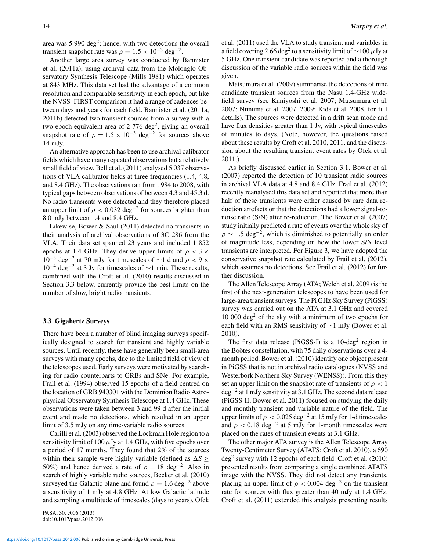area was  $5\,990\,\text{deg}^2$ ; hence, with two detections the overall transient snapshot rate was  $\rho = 1.5 \times 10^{-3} \text{ deg}^{-2}$ .

Another large area survey was conducted by Bannister et al. (2011a), using archival data from the Molonglo Observatory Synthesis Telescope (Mills 1981) which operates at 843 MHz. This data set had the advantage of a common resolution and comparable sensitivity in each epoch, but like the NVSS–FIRST comparison it had a range of cadences between days and years for each field. Bannister et al. (2011a, 2011b) detected two transient sources from a survey with a two-epoch equivalent area of  $2\,776\,\text{deg}^2$ , giving an overall snapshot rate of  $\rho = 1.5 \times 10^{-3}$  deg<sup>-2</sup> for sources above 14 mJy.

An alternative approach has been to use archival calibrator fields which have many repeated observations but a relatively small field of view. Bell et al. (2011) analysed 5 037 observations of VLA calibrator fields at three frequencies (1.4, 4.8, and 8.4 GHz). The observations ran from 1984 to 2008, with typical gaps between observations of between 4.3 and 45.3 d. No radio transients were detected and they therefore placed an upper limit of  $\rho < 0.032 \text{ deg}^{-2}$  for sources brighter than 8.0 mJy between 1.4 and 8.4 GHz.

Likewise, Bower & Saul (2011) detected no transients in their analysis of archival observations of 3C 286 from the VLA. Their data set spanned 23 years and included 1 852 epochs at 1.4 GHz. They derive upper limits of  $\rho < 3 \times$ 10<sup>-3</sup> deg<sup>-2</sup> at 70 mJy for timescales of ∼1 d and  $\rho$  < 9 ×  $10^{-4}$  deg<sup>-2</sup> at 3 Jy for timescales of ∼1 min. These results, combined with the Croft et al. (2010) results discussed in Section 3.3 below, currently provide the best limits on the number of slow, bright radio transients.

# **3.3 Gigahertz Surveys**

There have been a number of blind imaging surveys specifically designed to search for transient and highly variable sources. Until recently, these have generally been small-area surveys with many epochs, due to the limited field of view of the telescopes used. Early surveys were motivated by searching for radio counterparts to GRBs and SNe. For example, Frail et al. (1994) observed 15 epochs of a field centred on the location of GRB 940301 with the Dominion Radio Astrophysical Observatory Synthesis Telescope at 1.4 GHz. These observations were taken between 3 and 99 d after the initial event and made no detections, which resulted in an upper limit of 3.5 mJy on any time-variable radio sources.

Carilli et al. (2003) observed the Lockman Hole region to a sensitivity limit of  $100 \mu$ Jy at 1.4 GHz, with five epochs over a period of 17 months. They found that 2% of the sources within their sample were highly variable (defined as  $\Delta S \geq$ 50%) and hence derived a rate of  $\rho = 18 \text{ deg}^{-2}$ . Also in search of highly variable radio sources, Becker et al. (2010) surveyed the Galactic plane and found  $\rho = 1.6 \text{ deg}^{-2}$  above a sensitivity of 1 mJy at 4.8 GHz. At low Galactic latitude and sampling a multitude of timescales (days to years), Ofek

PASA, 30, e006 (2013) doi:10.1017/pasa.2012.006 et al. (2011) used the VLA to study transient and variables in a field covering 2.66 deg<sup>2</sup> to a sensitivity limit of ~100  $\mu$ Jy at 5 GHz. One transient candidate was reported and a thorough discussion of the variable radio sources within the field was given.

Matsumura et al. (2009) summarise the detections of nine candidate transient sources from the Nasu 1.4-GHz widefield survey (see Kuniyoshi et al. 2007; Matsumura et al. 2007; Niinuma et al. 2007, 2009; Kida et al. 2008, for full details). The sources were detected in a drift scan mode and have flux densities greater than 1 Jy, with typical timescales of minutes to days. (Note, however, the questions raised about these results by Croft et al. 2010, 2011, and the discussion about the resulting transient event rates by Ofek et al. 2011.)

As briefly discussed earlier in Section 3.1, Bower et al. (2007) reported the detection of 10 transient radio sources in archival VLA data at 4.8 and 8.4 GHz. Frail et al. (2012) recently reanalysed this data set and reported that more than half of these transients were either caused by rare data reduction artefacts or that the detections had a lower signal-tonoise ratio (S/N) after re-reduction. The Bower et al. (2007) study initially predicted a rate of events over the whole sky of  $\rho \sim 1.5 \text{ deg}^{-2}$ , which is diminished to potentially an order of magnitude less, depending on how the lower S/N level transients are interpreted. For Figure 3, we have adopted the conservative snapshot rate calculated by Frail et al. (2012), which assumes no detections. See Frail et al. (2012) for further discussion.

The Allen Telescope Array (ATA; Welch et al. 2009) is the first of the next-generation telescopes to have been used for large-area transient surveys. The Pi GHz Sky Survey (PiGSS) survey was carried out on the ATA at 3.1 GHz and covered  $10\ 000\ \text{deg}^2$  of the sky with a minimum of two epochs for each field with an RMS sensitivity of ∼1 mJy (Bower et al. 2010).

The first data release (PiGSS-I) is a  $10$ -deg<sup>2</sup> region in the Bootes constellation, with 75 daily observations over a 4month period. Bower et al. (2010) identify one object present in PiGSS that is not in archival radio catalogues (NVSS and Westerbork Northern Sky Survey (WENSS)). From this they set an upper limit on the snapshot rate of transients of  $\rho < 1$ deg−<sup>2</sup> at 1 mJy sensitivity at 3.1 GHz. The second data release (PiGSS-II; Bower et al. 2011) focused on studying the daily and monthly transient and variable nature of the field. The upper limits of  $\rho < 0.025 \text{ deg}^{-2}$  at 15 mJy for 1-d timescales and  $\rho < 0.18 \text{ deg}^{-2}$  at 5 mJy for 1-month timescales were placed on the rates of transient events at 3.1 GHz.

The other major ATA survey is the Allen Telescope Array Twenty-Centimeter Survey (ATATS; Croft et al. 2010), a 690  $\text{deg}^2$  survey with 12 epochs of each field. Croft et al. (2010) presented results from comparing a single combined ATATS image with the NVSS. They did not detect any transients, placing an upper limit of  $\rho < 0.004 \text{ deg}^{-2}$  on the transient rate for sources with flux greater than 40 mJy at 1.4 GHz. Croft et al. (2011) extended this analysis presenting results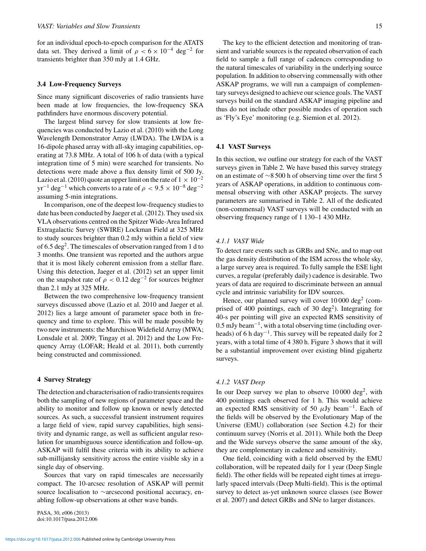for an individual epoch-to-epoch comparison for the ATATS data set. They derived a limit of  $\rho < 6 \times 10^{-4}$  deg<sup>-2</sup> for transients brighter than 350 mJy at 1.4 GHz.

# **3.4 Low-Frequency Surveys**

Since many significant discoveries of radio transients have been made at low frequencies, the low-frequency SKA pathfinders have enormous discovery potential.

The largest blind survey for slow transients at low frequencies was conducted by Lazio et al. (2010) with the Long Wavelength Demonstrator Array (LWDA). The LWDA is a 16-dipole phased array with all-sky imaging capabilities, operating at 73.8 MHz. A total of 106 h of data (with a typical integration time of 5 min) were searched for transients. No detections were made above a flux density limit of 500 Jy. Lazio et al. (2010) quote an upper limit on the rate of  $1 \times 10^{-2}$  $yr^{-1}$  deg<sup>-1</sup> which converts to a rate of  $\rho < 9.5 \times 10^{-8}$  deg<sup>-2</sup> assuming 5-min integrations.

In comparison, one of the deepest low-frequency studies to date has been conducted by Jaeger et al. (2012). They used six VLA observations centred on the Spitzer Wide-Area Infrared Extragalactic Survey (SWIRE) Lockman Field at 325 MHz to study sources brighter than 0.2 mJy within a field of view of 6.5 deg<sup>2</sup>. The timescales of observation ranged from 1 d to 3 months. One transient was reported and the authors argue that it is most likely coherent emission from a stellar flare. Using this detection, Jaeger et al. (2012) set an upper limit on the snapshot rate of  $\rho < 0.12 \text{ deg}^{-2}$  for sources brighter than 2.1 mJy at 325 MHz.

Between the two comprehensive low-frequency transient surveys discussed above (Lazio et al. 2010 and Jaeger et al. 2012) lies a large amount of parameter space both in frequency and time to explore. This will be made possible by two new instruments: the Murchison Widefield Array (MWA; Lonsdale et al. 2009; Tingay et al. 2012) and the Low Frequency Array (LOFAR; Heald et al. 2011), both currently being constructed and commissioned.

#### **4 Survey Strategy**

The detection and characterisation of radio transients requires both the sampling of new regions of parameter space and the ability to monitor and follow up known or newly detected sources. As such, a successful transient instrument requires a large field of view, rapid survey capabilities, high sensitivity and dynamic range, as well as sufficient angular resolution for unambiguous source identification and follow-up. ASKAP will fulfil these criteria with its ability to achieve sub-millijansky sensitivity across the entire visible sky in a single day of observing.

Sources that vary on rapid timescales are necessarily compact. The 10-arcsec resolution of ASKAP will permit source localisation to ∼arcsecond positional accuracy, enabling follow-up observations at other wave bands.

PASA, 30, e006 (2013) doi:10.1017/pasa.2012.006

The key to the efficient detection and monitoring of transient and variable sources is the repeated observation of each field to sample a full range of cadences corresponding to the natural timescales of variability in the underlying source population. In addition to observing commensally with other ASKAP programs, we will run a campaign of complementary surveys designed to achieve our science goals. The VAST surveys build on the standard ASKAP imaging pipeline and thus do not include other possible modes of operation such as 'Fly's Eye' monitoring (e.g. Siemion et al. 2012).

#### **4.1 VAST Surveys**

In this section, we outline our strategy for each of the VAST surveys given in Table 2. We have based this survey strategy on an estimate of ∼8 500 h of observing time over the first 5 years of ASKAP operations, in addition to continuous commensal observing with other ASKAP projects. The survey parameters are summarised in Table 2. All of the dedicated (non-commensal) VAST surveys will be conducted with an observing frequency range of 1 130–1 430 MHz.

# *4.1.1 VAST Wide*

To detect rare events such as GRBs and SNe, and to map out the gas density distribution of the ISM across the whole sky, a large survey area is required. To fully sample the ESE light curves, a regular (preferably daily) cadence is desirable. Two years of data are required to discriminate between an annual cycle and intrinsic variability for IDV sources.

Hence, our planned survey will cover  $10000 \text{ deg}^2$  (comprised of 400 pointings, each of 30  $deg<sup>2</sup>$ ). Integrating for 40-s per pointing will give an expected RMS sensitivity of 0.5 mJy beam−1, with a total observing time (including overheads) of 6 h day<sup>-1</sup>. This survey will be repeated daily for 2 years, with a total time of 4 380 h. Figure 3 shows that it will be a substantial improvement over existing blind gigahertz surveys.

# *4.1.2 VAST Deep*

In our Deep survey we plan to observe 10000 deg<sup>2</sup>, with 400 pointings each observed for 1 h. This would achieve an expected RMS sensitivity of 50  $\mu$ Jy beam<sup>-1</sup>. Each of the fields will be observed by the Evolutionary Map of the Universe (EMU) collaboration (see Section 4.2) for their continuum survey (Norris et al. 2011). While both the Deep and the Wide surveys observe the same amount of the sky, they are complementary in cadence and sensitivity.

One field, coinciding with a field observed by the EMU collaboration, will be repeated daily for 1 year (Deep Single field). The other fields will be repeated eight times at irregularly spaced intervals (Deep Multi-field). This is the optimal survey to detect as-yet unknown source classes (see Bower et al. 2007) and detect GRBs and SNe to larger distances.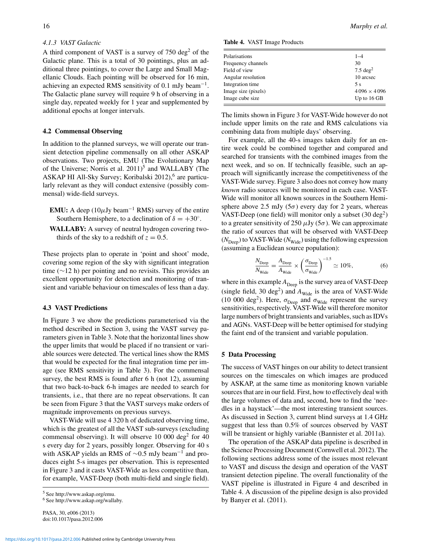# *4.1.3 VAST Galactic*

A third component of VAST is a survey of  $750 \text{ deg}^2$  of the Galactic plane. This is a total of 30 pointings, plus an additional three pointings, to cover the Large and Small Magellanic Clouds. Each pointing will be observed for 16 min, achieving an expected RMS sensitivity of 0.1 mJy beam−1. The Galactic plane survey will require 9 h of observing in a single day, repeated weekly for 1 year and supplemented by additional epochs at longer intervals.

## **4.2 Commensal Observing**

In addition to the planned surveys, we will operate our transient detection pipeline commensally on all other ASKAP observations. Two projects, EMU (The Evolutionary Map of the Universe; Norris et al.  $2011$ <sup>5</sup> and WALLABY (The ASKAP HI All-Sky Survey; Koribalski 2012),<sup>6</sup> are particularly relevant as they will conduct extensive (possibly commensal) wide-field surveys.

- **EMU:** A deep ( $10\mu$ Jy beam<sup>-1</sup> RMS) survey of the entire Southern Hemisphere, to a declination of  $\delta = +30^\circ$ .
- **WALLABY:** A survey of neutral hydrogen covering twothirds of the sky to a redshift of  $z = 0.5$ .

These projects plan to operate in 'point and shoot' mode, covering some region of the sky with significant integration time (∼12 h) per pointing and no revisits. This provides an excellent opportunity for detection and monitoring of transient and variable behaviour on timescales of less than a day.

# **4.3 VAST Predictions**

In Figure 3 we show the predictions parameterised via the method described in Section 3, using the VAST survey parameters given in Table 3. Note that the horizontal lines show the upper limits that would be placed if no transient or variable sources were detected. The vertical lines show the RMS that would be expected for the final integration time per image (see RMS sensitivity in Table 3). For the commensal survey, the best RMS is found after 6 h (not 12), assuming that two back-to-back 6-h images are needed to search for transients, i.e., that there are no repeat observations. It can be seen from Figure 3 that the VAST surveys make orders of magnitude improvements on previous surveys.

VAST-Wide will use 4 320 h of dedicated observing time, which is the greatest of all the VAST sub-surveys (excluding commensal observing). It will observe 10 000 deg<sup>2</sup> for 40 s every day for 2 years, possibly longer. Observing for 40 s with ASKAP yields an RMS of  $\sim$ 0.5 mJy beam<sup>-1</sup> and produces eight 5-s images per observation. This is represented in Figure 3 and it casts VAST-Wide as less competitive than, for example, VAST-Deep (both multi-field and single field).

PASA, 30, e006 (2013) doi:10.1017/pasa.2012.006

**Table 4.** VAST Image Products

| Polarisations       | $1 - 4$            |
|---------------------|--------------------|
| Frequency channels  | 30                 |
| Field of view       | 7.5 $deg2$         |
| Angular resolution  | 10 arcsec          |
| Integration time    | 5 s                |
| Image size (pixels) | $4096 \times 4096$ |
| Image cube size     | Up to $16$ GB      |

The limits shown in Figure 3 for VAST-Wide however do not include upper limits on the rate and RMS calculations via combining data from multiple days' observing.

For example, all the 40-s images taken daily for an entire week could be combined together and compared and searched for transients with the combined images from the next week, and so on. If technically feasible, such an approach will significantly increase the competitiveness of the VAST-Wide survey. Figure 3 also does not convey how many *known* radio sources will be monitored in each case. VAST-Wide will monitor all known sources in the Southern Hemisphere above 2.5 mJy ( $5\sigma$ ) every day for 2 years, whereas VAST-Deep (one field) will monitor only a subset  $(30 \text{ deg}^2)$ to a greater sensitivity of 250  $\mu$ Jy (5 $\sigma$ ). We can approximate the ratio of sources that will be observed with VAST-Deep  $(N_{\text{Deep}})$  to VAST-Wide ( $N_{\text{Wide}}$ ) using the following expression (assuming a Euclidean source population):

$$
\frac{N_{\text{Deep}}}{N_{\text{wide}}} = \frac{A_{\text{Deep}}}{A_{\text{wide}}} \times \left(\frac{\sigma_{\text{Deep}}}{\sigma_{\text{Wide}}}\right)^{-1.5} \simeq 10\%,\tag{6}
$$

where in this example  $A_{\text{Deep}}$  is the survey area of VAST-Deep (single field, 30 deg<sup>2</sup>) and  $A_{\text{Wide}}$  is the area of VAST-Wide (10 000 deg<sup>2</sup>). Here,  $\sigma_{\text{Deep}}$  and  $\sigma_{\text{wide}}$  represent the survey sensitivities, respectively. VAST-Wide will therefore monitor large numbers of bright transients and variables, such as IDVs and AGNs. VAST-Deep will be better optimised for studying the faint end of the transient and variable population.

# **5 Data Processing**

The success of VAST hinges on our ability to detect transient sources on the timescales on which images are produced by ASKAP, at the same time as monitoring known variable sources that are in our field. First, how to effectively deal with the large volumes of data and, second, how to find the 'needles in a haystack'—the most interesting transient sources. As discussed in Section 3, current blind surveys at 1.4 GHz suggest that less than 0.5% of sources observed by VAST will be transient or highly variable (Bannister et al. 2011a).

The operation of the ASKAP data pipeline is described in the Science Processing Document (Cornwell et al. 2012). The following sections address some of the issues most relevant to VAST and discuss the design and operation of the VAST transient detection pipeline. The overall functionality of the VAST pipeline is illustrated in Figure 4 and described in Table 4. A discussion of the pipeline design is also provided by Banyer et al. (2011).

<sup>5</sup> See http://www.askap.org/emu.

<sup>6</sup> See http://www.askap.org/wallaby.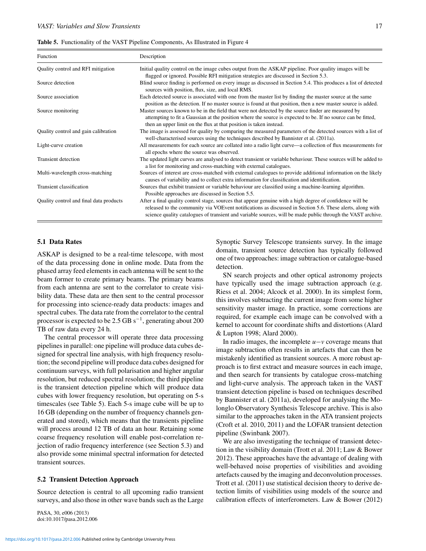**Table 5.** Functionality of the VAST Pipeline Components, As Illustrated in Figure 4

| Function                                | Description                                                                                                                                                                                                                                                                                                                           |
|-----------------------------------------|---------------------------------------------------------------------------------------------------------------------------------------------------------------------------------------------------------------------------------------------------------------------------------------------------------------------------------------|
| Quality control and RFI mitigation      | Initial quality control on the image cubes output from the ASKAP pipeline. Poor quality images will be<br>flagged or ignored. Possible RFI mitigation strategies are discussed in Section 5.3.                                                                                                                                        |
| Source detection                        | Blind source finding is performed on every image as discussed in Section 5.4. This produces a list of detected<br>sources with position, flux, size, and local RMS.                                                                                                                                                                   |
| Source association                      | Each detected source is associated with one from the master list by finding the master source at the same<br>position as the detection. If no master source is found at that position, then a new master source is added.                                                                                                             |
| Source monitoring                       | Master sources known to be in the field that were not detected by the source finder are measured by<br>attempting to fit a Gaussian at the position where the source is expected to be. If no source can be fitted,<br>then an upper limit on the flux at that position is taken instead.                                             |
| Quality control and gain calibration    | The image is assessed for quality by comparing the measured parameters of the detected sources with a list of<br>well-characterised sources using the techniques described by Bannister et al. (2011a).                                                                                                                               |
| Light-curve creation                    | All measurements for each source are collated into a radio light curve—a collection of flux measurements for<br>all epochs where the source was observed.                                                                                                                                                                             |
| <b>Transient detection</b>              | The updated light curves are analysed to detect transient or variable behaviour. These sources will be added to<br>a list for monitoring and cross-matching with external catalogues.                                                                                                                                                 |
| Multi-wavelength cross-matching         | Sources of interest are cross-matched with external catalogues to provide additional information on the likely<br>causes of variability and to collect extra information for classification and identification.                                                                                                                       |
| Transient classification                | Sources that exhibit transient or variable behaviour are classified using a machine-learning algorithm.<br>Possible approaches are discussed in Section 5.5.                                                                                                                                                                          |
| Quality control and final data products | After a final quality control stage, sources that appear genuine with a high degree of confidence will be<br>released to the community via VOEvent notifications as discussed in Section 5.6. These alerts, along with<br>science quality catalogues of transient and variable sources, will be made public through the VAST archive. |

# **5.1 Data Rates**

ASKAP is designed to be a real-time telescope, with most of the data processing done in online mode. Data from the phased array feed elements in each antenna will be sent to the beam former to create primary beams. The primary beams from each antenna are sent to the correlator to create visibility data. These data are then sent to the central processor for processing into science-ready data products: images and spectral cubes. The data rate from the correlator to the central processor is expected to be 2.5 GB  $s^{-1}$ , generating about 200 TB of raw data every 24 h.

The central processor will operate three data processing pipelines in parallel: one pipeline will produce data cubes designed for spectral line analysis, with high frequency resolution; the second pipeline will produce data cubes designed for continuum surveys, with full polarisation and higher angular resolution, but reduced spectral resolution; the third pipeline is the transient detection pipeline which will produce data cubes with lower frequency resolution, but operating on 5-s timescales (see Table 5). Each 5-s image cube will be up to 16 GB (depending on the number of frequency channels generated and stored), which means that the transients pipeline will process around 12 TB of data an hour. Retaining some coarse frequency resolution will enable post-correlation rejection of radio frequency interference (see Section 5.3) and also provide some minimal spectral information for detected transient sources.

# **5.2 Transient Detection Approach**

Source detection is central to all upcoming radio transient surveys, and also those in other wave bands such as the Large

PASA, 30, e006 (2013) doi:10.1017/pasa.2012.006 Synoptic Survey Telescope transients survey. In the image domain, transient source detection has typically followed one of two approaches: image subtraction or catalogue-based detection.

SN search projects and other optical astronomy projects have typically used the image subtraction approach (e.g. Riess et al. 2004; Alcock et al. 2000). In its simplest form, this involves subtracting the current image from some higher sensitivity master image. In practice, some corrections are required, for example each image can be convolved with a kernel to account for coordinate shifts and distortions (Alard & Lupton 1998; Alard 2000).

In radio images, the incomplete *u*−*v* coverage means that image subtraction often results in artefacts that can then be mistakenly identified as transient sources. A more robust approach is to first extract and measure sources in each image, and then search for transients by catalogue cross-matching and light-curve analysis. The approach taken in the VAST transient detection pipeline is based on techniques described by Bannister et al. (2011a), developed for analysing the Molonglo Observatory Synthesis Telescope archive. This is also similar to the approaches taken in the ATA transient projects (Croft et al. 2010, 2011) and the LOFAR transient detection pipeline (Swinbank 2007).

We are also investigating the technique of transient detection in the visibility domain (Trott et al. 2011; Law & Bower 2012). These approaches have the advantage of dealing with well-behaved noise properties of visibilities and avoiding artefacts caused by the imaging and deconvolution processes. Trott et al. (2011) use statistical decision theory to derive detection limits of visibilities using models of the source and calibration effects of interferometers. Law & Bower (2012)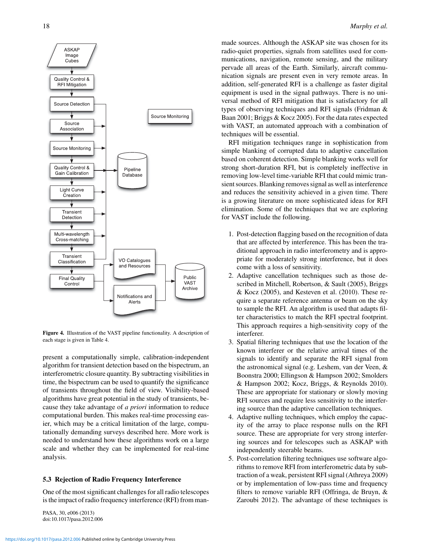

**Figure 4.** Illustration of the VAST pipeline functionality. A description of each stage is given in Table 4.

present a computationally simple, calibration-independent algorithm for transient detection based on the bispectrum, an interferometric closure quantity. By subtracting visibilities in time, the bispectrum can be used to quantify the significance of transients throughout the field of view. Visibility-based algorithms have great potential in the study of transients, because they take advantage of *a priori* information to reduce computational burden. This makes real-time processing easier, which may be a critical limitation of the large, computationally demanding surveys described here. More work is needed to understand how these algorithms work on a large scale and whether they can be implemented for real-time analysis.

# **5.3 Rejection of Radio Frequency Interference**

One of the most significant challenges for all radio telescopes is the impact of radio frequency interference (RFI) from man-

PASA, 30, e006 (2013) doi:10.1017/pasa.2012.006 made sources. Although the ASKAP site was chosen for its radio-quiet properties, signals from satellites used for communications, navigation, remote sensing, and the military pervade all areas of the Earth. Similarly, aircraft communication signals are present even in very remote areas. In addition, self-generated RFI is a challenge as faster digital equipment is used in the signal pathways. There is no universal method of RFI mitigation that is satisfactory for all types of observing techniques and RFI signals (Fridman & Baan 2001; Briggs & Kocz 2005). For the data rates expected with VAST, an automated approach with a combination of techniques will be essential.

RFI mitigation techniques range in sophistication from simple blanking of corrupted data to adaptive cancellation based on coherent detection. Simple blanking works well for strong short-duration RFI, but is completely ineffective in removing low-level time-variable RFI that could mimic transient sources. Blanking removes signal as well as interference and reduces the sensitivity achieved in a given time. There is a growing literature on more sophisticated ideas for RFI elimination. Some of the techniques that we are exploring for VAST include the following.

- 1. Post-detection flagging based on the recognition of data that are affected by interference. This has been the traditional approach in radio interferometry and is appropriate for moderately strong interference, but it does come with a loss of sensitivity.
- 2. Adaptive cancellation techniques such as those described in Mitchell, Robertson, & Sault (2005), Briggs & Kocz (2005), and Kesteven et al. (2010). These require a separate reference antenna or beam on the sky to sample the RFI. An algorithm is used that adapts filter characteristics to match the RFI spectral footprint. This approach requires a high-sensitivity copy of the interferer.
- 3. Spatial filtering techniques that use the location of the known interferer or the relative arrival times of the signals to identify and separate the RFI signal from the astronomical signal (e.g. Leshem, van der Veen, & Boonstra 2000; Ellingson & Hampson 2002; Smolders & Hampson 2002; Kocz, Briggs, & Reynolds 2010). These are appropriate for stationary or slowly moving RFI sources and require less sensitivity to the interfering source than the adaptive cancellation techniques.
- 4. Adaptive nulling techniques, which employ the capacity of the array to place response nulls on the RFI source. These are appropriate for very strong interfering sources and for telescopes such as ASKAP with independently steerable beams.
- 5. Post-correlation filtering techniques use software algorithms to remove RFI from interferometric data by subtraction of a weak, persistent RFI signal (Athreya 2009) or by implementation of low-pass time and frequency filters to remove variable RFI (Offringa, de Bruyn, & Zaroubi 2012). The advantage of these techniques is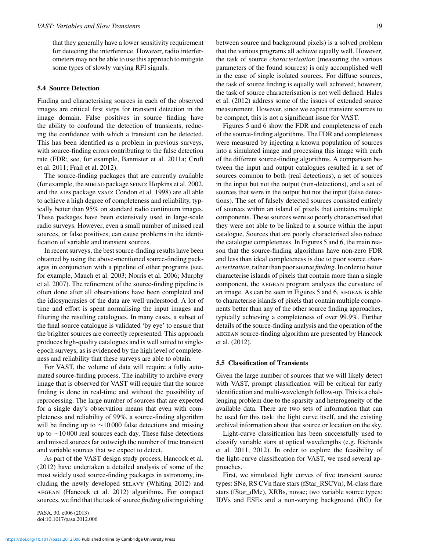that they generally have a lower sensitivity requirement for detecting the interference. However, radio interferometers may not be able to use this approach to mitigate some types of slowly varying RFI signals.

# **5.4 Source Detection**

Finding and characterising sources in each of the observed images are critical first steps for transient detection in the image domain. False positives in source finding have the ability to confound the detection of transients, reducing the confidence with which a transient can be detected. This has been identified as a problem in previous surveys, with source-finding errors contributing to the false detection rate (FDR; see, for example, Bannister et al. 2011a; Croft et al. 2011; Frail et al. 2012).

The source-finding packages that are currently available (for example, the MIRIAD package SFIND; Hopkins et al. 2002, and the AIPS package VSAD; Condon et al. 1998) are all able to achieve a high degree of completeness and reliability, typically better than 95% on standard radio continuum images. These packages have been extensively used in large-scale radio surveys. However, even a small number of missed real sources, or false positives, can cause problems in the identification of variable and transient sources.

In recent surveys, the best source-finding results have been obtained by using the above-mentioned source-finding packages in conjunction with a pipeline of other programs (see, for example, Mauch et al. 2003; Norris et al. 2006; Murphy et al. 2007). The refinement of the source-finding pipeline is often done after all observations have been completed and the idiosyncrasies of the data are well understood. A lot of time and effort is spent normalising the input images and filtering the resulting catalogues. In many cases, a subset of the final source catalogue is validated 'by eye' to ensure that the brighter sources are correctly represented. This approach produces high-quality catalogues and is well suited to singleepoch surveys, as is evidenced by the high level of completeness and reliability that these surveys are able to obtain.

For VAST, the volume of data will require a fully automated source-finding process. The inability to archive every image that is observed for VAST will require that the source finding is done in real-time and without the possibility of reprocessing. The large number of sources that are expected for a single day's observation means that even with completeness and reliability of 99%, a source-finding algorithm will be finding up to  $\sim$ 10 000 false detections and missing up to ∼10 000 real sources each day. These false detections and missed sources far outweigh the number of true transient and variable sources that we expect to detect.

As part of the VAST design study process, Hancock et al. (2012) have undertaken a detailed analysis of some of the most widely used source-finding packages in astronomy, including the newly developed SELAVY (Whiting 2012) and aegean (Hancock et al. 2012) algorithms. For compact sources, we find that the task of source *finding* (distinguishing

PASA, 30, e006 (2013) doi:10.1017/pasa.2012.006 between source and background pixels) is a solved problem that the various programs all achieve equally well. However, the task of source *characterisation* (measuring the various parameters of the found sources) is only accomplished well in the case of single isolated sources. For diffuse sources, the task of source finding is equally well achieved; however, the task of source characterisation is not well defined. Hales et al. (2012) address some of the issues of extended source measurement. However, since we expect transient sources to be compact, this is not a significant issue for VAST.

Figures 5 and 6 show the FDR and completeness of each of the source-finding algorithms. The FDR and completeness were measured by injecting a known population of sources into a simulated image and processing this image with each of the different source-finding algorithms. A comparison between the input and output catalogues resulted in a set of sources common to both (real detections), a set of sources in the input but not the output (non-detections), and a set of sources that were in the output but not the input (false detections). The set of falsely detected sources consisted entirely of sources within an island of pixels that contains multiple components. These sources were so poorly characterised that they were not able to be linked to a source within the input catalogue. Sources that are poorly characterised also reduce the catalogue completeness. In Figures 5 and 6, the main reason that the source-finding algorithms have non-zero FDR and less than ideal completeness is due to poor source *characterisation*, rather than poor source *finding*. In order to better characterise islands of pixels that contain more than a single component, the aegean program analyses the curvature of an image. As can be seen in Figures 5 and 6, aegean is able to characterise islands of pixels that contain multiple components better than any of the other source finding approaches, typically achieving a completeness of over 99.9%. Further details of the source-finding analysis and the operation of the aegean source-finding algorithm are presented by Hancock et al. (2012).

# **5.5 Classification of Transients**

Given the large number of sources that we will likely detect with VAST, prompt classification will be critical for early identification and multi-wavelength follow-up. This is a challenging problem due to the sparsity and heterogeneity of the available data. There are two sets of information that can be used for this task: the light curve itself, and the existing archival information about that source or location on the sky.

Light-curve classification has been successfully used to classify variable stars at optical wavelengths (e.g. Richards et al. 2011, 2012). In order to explore the feasibility of the light-curve classification for VAST, we used several approaches.

First, we simulated light curves of five transient source types: SNe, RS CVn flare stars (fStar\_RSCVn), M-class flare stars (fStar\_dMe), XRBs, novae; two variable source types: IDVs and ESEs and a non-varying background (BG) for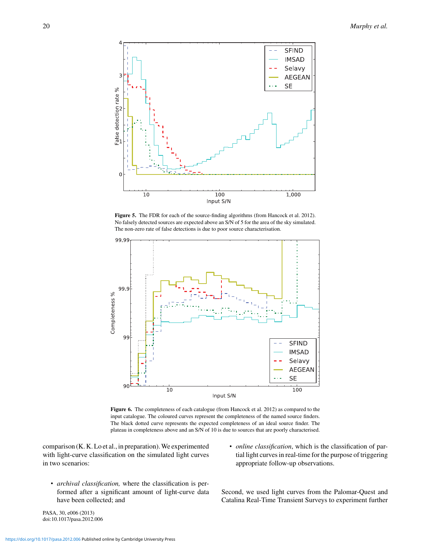

**Figure 5.** The FDR for each of the source-finding algorithms (from Hancock et al. 2012). No falsely detected sources are expected above an S/N of 5 for the area of the sky simulated. The non-zero rate of false detections is due to poor source characterisation.



**Figure 6.** The completeness of each catalogue (from Hancock et al. 2012) as compared to the input catalogue. The coloured curves represent the completeness of the named source finders. The black dotted curve represents the expected completeness of an ideal source finder. The plateau in completeness above and an S/N of 10 is due to sources that are poorly characterised.

comparison (K. K. Lo et al., in preparation). We experimented with light-curve classification on the simulated light curves in two scenarios:

• *archival classification,* where the classification is performed after a significant amount of light-curve data have been collected; and

PASA, 30, e006 (2013) doi:10.1017/pasa.2012.006 • *online classification*, which is the classification of partial light curves in real-time for the purpose of triggering appropriate follow-up observations.

Second, we used light curves from the Palomar-Quest and Catalina Real-Time Transient Surveys to experiment further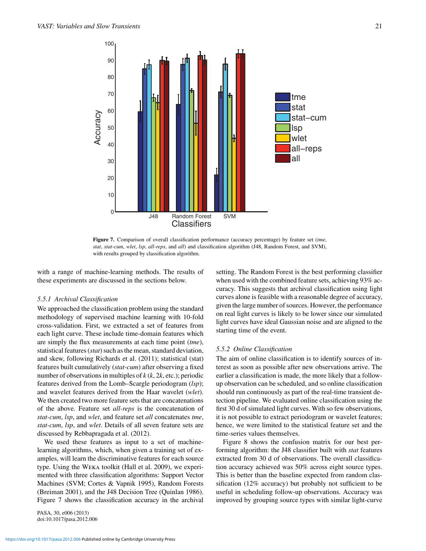

**Figure 7.** Comparison of overall classification performance (accuracy percentage) by feature set (*tme*, *stat*, *stat-cum*, *wlet*, *lsp*, *all-reps*, and *all*) and classification algorithm (J48, Random Forest, and SVM), with results grouped by classification algorithm.

with a range of machine-learning methods. The results of these experiments are discussed in the sections below.

## *5.5.1 Archival Classification*

We approached the classification problem using the standard methodology of supervised machine learning with 10-fold cross-validation. First, we extracted a set of features from each light curve. These include time-domain features which are simply the flux measurements at each time point (*tme*), statistical features (*stat*) such as the mean, standard deviation, and skew, following Richards et al. (2011); statistical (stat) features built cumulatively (*stat-cum*) after observing a fixed number of observations in multiples of *k* (*k*, 2*k*, etc.); periodic features derived from the Lomb–Scargle periodogram (*lsp*); and wavelet features derived from the Haar wavelet (*wlet*). We then created two more feature sets that are concatenations of the above. Feature set *all-reps* is the concatenation of *stat-cum*, *lsp*, and *wlet*, and feature set *all* concatenates *tme*, *stat-cum*, *lsp*, and *wlet*. Details of all seven feature sets are discussed by Rebbapragada et al. (2012).

We used these features as input to a set of machinelearning algorithms, which, when given a training set of examples, will learn the discriminative features for each source type. Using the Weka toolkit (Hall et al. 2009), we experimented with three classification algorithms: Support Vector Machines (SVM; Cortes & Vapnik 1995), Random Forests (Breiman 2001), and the J48 Decision Tree (Quinlan 1986). Figure 7 shows the classification accuracy in the archival

PASA, 30, e006 (2013) doi:10.1017/pasa.2012.006 setting. The Random Forest is the best performing classifier when used with the combined feature sets, achieving 93% accuracy. This suggests that archival classification using light curves alone is feasible with a reasonable degree of accuracy, given the large number of sources. However, the performance on real light curves is likely to be lower since our simulated light curves have ideal Gaussian noise and are aligned to the starting time of the event.

# *5.5.2 Online Classification*

The aim of online classification is to identify sources of interest as soon as possible after new observations arrive. The earlier a classification is made, the more likely that a followup observation can be scheduled, and so online classification should run continuously as part of the real-time transient detection pipeline. We evaluated online classification using the first 30 d of simulated light curves. With so few observations, it is not possible to extract periodogram or wavelet features; hence, we were limited to the statistical feature set and the time-series values themselves.

Figure 8 shows the confusion matrix for our best performing algorithm: the J48 classifier built with *stat* features extracted from 30 d of observations. The overall classification accuracy achieved was 50% across eight source types. This is better than the baseline expected from random classification (12% accuracy) but probably not sufficient to be useful in scheduling follow-up observations. Accuracy was improved by grouping source types with similar light-curve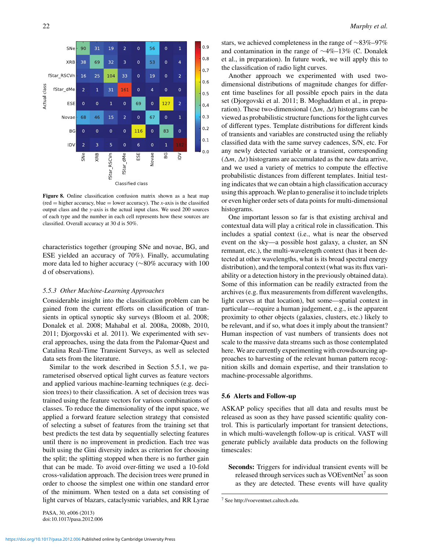

**Figure 8.** Online classification confusion matrix shown as a heat map  $(\text{red} = \text{higher accuracy}, \text{blue} = \text{lower accuracy})$ . The *x*-axis is the classified output class and the *y*-axis is the actual input class. We used 200 sources of each type and the number in each cell represents how these sources are classified. Overall accuracy at 30 d is 50%.

characteristics together (grouping SNe and novae, BG, and ESE yielded an accuracy of 70%). Finally, accumulating more data led to higher accuracy (∼80% accuracy with 100 d of observations).

# *5.5.3 Other Machine-Learning Approaches*

Considerable insight into the classification problem can be gained from the current efforts on classification of transients in optical synoptic sky surveys (Bloom et al. 2008; Donalek et al. 2008; Mahabal et al. 2008a, 2008b, 2010, 2011; Djorgovski et al. 2011). We experimented with several approaches, using the data from the Palomar-Quest and Catalina Real-Time Transient Surveys, as well as selected data sets from the literature.

Similar to the work described in Section 5.5.1, we parameterised observed optical light curves as feature vectors and applied various machine-learning techniques (e.g. decision trees) to their classification. A set of decision trees was trained using the feature vectors for various combinations of classes. To reduce the dimensionality of the input space, we applied a forward feature selection strategy that consisted of selecting a subset of features from the training set that best predicts the test data by sequentially selecting features until there is no improvement in prediction. Each tree was built using the Gini diversity index as criterion for choosing the split; the splitting stopped when there is no further gain that can be made. To avoid over-fitting we used a 10-fold cross-validation approach. The decision trees were pruned in order to choose the simplest one within one standard error of the minimum. When tested on a data set consisting of light curves of blazars, cataclysmic variables, and RR Lyrae

PASA, 30, e006 (2013) doi:10.1017/pasa.2012.006 stars, we achieved completeness in the range of ∼83%–97% and contamination in the range of ∼4%–13% (C. Donalek et al., in preparation). In future work, we will apply this to the classification of radio light curves.

Another approach we experimented with used twodimensional distributions of magnitude changes for different time baselines for all possible epoch pairs in the data set (Djorgovski et al. 2011; B. Moghaddam et al., in preparation). These two-dimensional  $(\Delta m, \Delta t)$  histograms can be viewed as probabilistic structure functions for the light curves of different types. Template distributions for different kinds of transients and variables are constructed using the reliably classified data with the same survey cadences, S/N, etc. For any newly detected variable or a transient, corresponding  $(\Delta m, \Delta t)$  histograms are accumulated as the new data arrive, and we used a variety of metrics to compute the effective probabilistic distances from different templates. Initial testing indicates that we can obtain a high classification accuracy using this approach. We plan to generalise it to include triplets or even higher order sets of data points for multi-dimensional histograms.

One important lesson so far is that existing archival and contextual data will play a critical role in classification. This includes a spatial context (i.e., what is near the observed event on the sky—a possible host galaxy, a cluster, an SN remnant, etc.), the multi-wavelength context (has it been detected at other wavelengths, what is its broad spectral energy distribution), and the temporal context (what was its flux variability or a detection history in the previously obtained data). Some of this information can be readily extracted from the archives (e.g. flux measurements from different wavelengths, light curves at that location), but some—spatial context in particular—require a human judgement, e.g., is the apparent proximity to other objects (galaxies, clusters, etc.) likely to be relevant, and if so, what does it imply about the transient? Human inspection of vast numbers of transients does not scale to the massive data streams such as those contemplated here. We are currently experimenting with crowdsourcing approaches to harvesting of the relevant human pattern recognition skills and domain expertise, and their translation to machine-processable algorithms.

#### **5.6 Alerts and Follow-up**

ASKAP policy specifies that all data and results must be released as soon as they have passed scientific quality control. This is particularly important for transient detections, in which multi-wavelength follow-up is critical. VAST will generate publicly available data products on the following timescales:

**Seconds:** Triggers for individual transient events will be released through services such as  $VOEventNet<sup>7</sup>$  as soon as they are detected. These events will have quality

<sup>7</sup> See http://voeventnet.caltech.edu.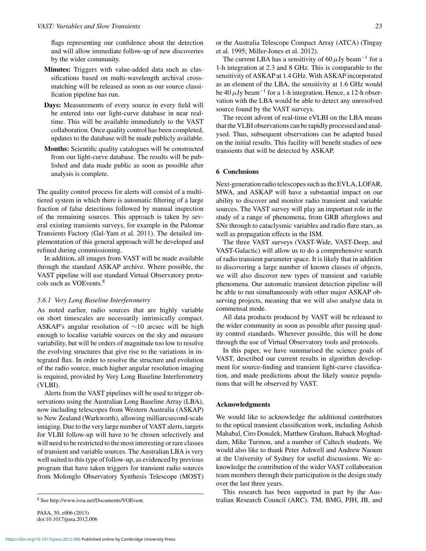flags representing our confidence about the detection and will allow immediate follow-up of new discoveries by the wider community.

- **Minutes:** Triggers with value-added data such as classifications based on multi-wavelength archival crossmatching will be released as soon as our source classification pipeline has run.
- **Days:** Measurements of every source in every field will be entered into our light-curve database in near realtime. This will be available immediately to the VAST collaboration. Once quality control has been completed, updates to the database will be made publicly available.
- **Months:** Scientific quality catalogues will be constructed from our light-curve database. The results will be published and data made public as soon as possible after analysis is complete.

The quality control process for alerts will consist of a multitiered system in which there is automatic filtering of a large fraction of false detections followed by manual inspection of the remaining sources. This approach is taken by several existing transients surveys, for example in the Palomar Transients Factory (Gal-Yam et al. 2011). The detailed implementation of this general approach will be developed and refined during commissioning.

In addition, all images from VAST will be made available through the standard ASKAP archive. Where possible, the VAST pipeline will use standard Virtual Observatory protocols such as VOEvents.8

## *5.6.1 Very Long Baseline Interferometry*

As noted earlier, radio sources that are highly variable on short timescales are necessarily intrinsically compact. ASKAP's angular resolution of ∼10 arcsec will be high enough to localise variable sources on the sky and measure variability, but will be orders of magnitude too low to resolve the evolving structures that give rise to the variations in integrated flux. In order to resolve the structure and evolution of the radio source, much higher angular resolution imaging is required, provided by Very Long Baseline Interferometry (VLBI).

Alerts from the VAST pipelines will be used to trigger observations using the Australian Long Baseline Array (LBA), now including telescopes from Western Australia (ASKAP) to New Zealand (Warkworth), allowing milliarcsecond-scale imaging. Due to the very large number of VAST alerts, targets for VLBI follow-up will have to be chosen selectively and will need to be restricted to the most interesting or rare classes of transient and variable sources. The Australian LBA is very well suited to this type of follow-up, as evidenced by previous program that have taken triggers for transient radio sources from Molonglo Observatory Synthesis Telescope (MOST) or the Australia Telescope Compact Array (ATCA) (Tingay et al. 1995; Miller-Jones et al. 2012).

The current LBA has a sensitivity of 60  $\mu$ Jy beam<sup>-1</sup> for a 1-h integration at 2.3 and 8 GHz. This is comparable to the sensitivity of ASKAP at 1.4 GHz. With ASKAP incorporated as an element of the LBA, the sensitivity at 1.6 GHz would be 40  $\mu$ Jy beam<sup>-1</sup> for a 1-h integration. Hence, a 12-h observation with the LBA would be able to detect any unresolved source found by the VAST surveys.

The recent advent of real-time eVLBI on the LBA means that the VLBI observations can be rapidly processed and analysed. Thus, subsequent observations can be adapted based on the initial results. This facility will benefit studies of new transients that will be detected by ASKAP.

## **6 Conclusions**

Next-generation radio telescopes such as the EVLA, LOFAR, MWA, and ASKAP will have a substantial impact on our ability to discover and monitor radio transient and variable sources. The VAST survey will play an important role in the study of a range of phenomena, from GRB afterglows and SNe through to cataclysmic variables and radio flare stars, as well as propagation effects in the ISM.

The three VAST surveys (VAST-Wide, VAST-Deep, and VAST-Galactic) will allow us to do a comprehensive search of radio transient parameter space. It is likely that in addition to discovering a large number of known classes of objects, we will also discover new types of transient and variable phenomena. Our automatic transient detection pipeline will be able to run simultaneously with other major ASKAP observing projects, meaning that we will also analyse data in commensal mode.

All data products produced by VAST will be released to the wider community as soon as possible after passing quality control standards. Wherever possible, this will be done through the use of Virtual Observatory tools and protocols.

In this paper, we have summarised the science goals of VAST, described our current results in algorithm development for source-finding and transient light-curve classification, and made predictions about the likely source populations that will be observed by VAST.

# **Acknowledgments**

We would like to acknowledge the additional contributors to the optical transient classification work, including Ashish Mahabal, Ciro Donalek, Matthew Graham, Baback Moghaddam, Mike Turmon, and a number of Caltech students. We would also like to thank Peter Ashwell and Andrew Naoum at the University of Sydney for useful discussions. We acknowledge the contribution of the wider VAST collaboration team members through their participation in the design study over the last three years.

This research has been supported in part by the Australian Research Council (ARC). TM, BMG, PJH, JB, and

<sup>8</sup> See http://www.ivoa.net/Documents/VOEvent.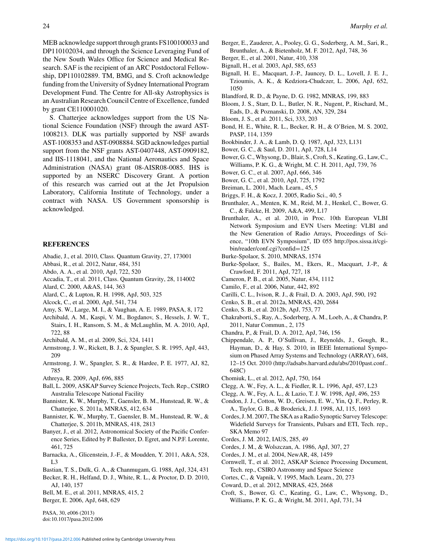MEB acknowledge support through grants FS100100033 and DP110102034, and through the Science Leveraging Fund of the New South Wales Office for Science and Medical Research. SAF is the recipient of an ARC Postdoctoral Fellowship, DP110102889. TM, BMG, and S. Croft acknowledge funding from the University of Sydney International Program Development Fund. The Centre for All-sky Astrophysics is an Australian Research Council Centre of Excellence, funded by grant CE110001020.

S. Chatterjee acknowledges support from the US National Science Foundation (NSF) through the award AST-1008213. DLK was partially supported by NSF awards AST-1008353 and AST-0908884. SGD acknowledges partial support from the NSF grants AST-0407448, AST-0909182, and IIS-1118041, and the National Aeronautics and Space Administration (NASA) grant 08-AISR08-0085. IHS is supported by an NSERC Discovery Grant. A portion of this research was carried out at the Jet Propulsion Laboratory, California Institute of Technology, under a contract with NASA. US Government sponsorship is acknowledged.

# **REFERENCES**

- Abadie, J., et al. 2010, Class. Quantum Gravity, 27, 173001
- Abbasi, R., et al. 2012, Natur, 484, 351
- Abdo, A. A., et al. 2010, ApJ, 722, 520
- Accadia, T., et al. 2011, Class. Quantum Gravity, 28, 114002
- Alard, C. 2000, A&AS, 144, 363
- Alard, C., & Lupton, R. H. 1998, ApJ, 503, 325
- Alcock, C., et al. 2000, ApJ, 541, 734
- Amy, S. W., Large, M. I., & Vaughan, A. E. 1989, PASA, 8, 172
- Archibald, A. M., Kaspi, V. M., Bogdanov, S., Hessels, J. W. T., Stairs, I. H., Ransom, S. M., & McLaughlin, M. A. 2010, ApJ, 722, 88
- Archibald, A. M., et al. 2009, Sci, 324, 1411
- Armstrong, J. W., Rickett, B. J., & Spangler, S. R. 1995, ApJ, 443, 209
- Armstrong, J. W., Spangler, S. R., & Hardee, P. E. 1977, AJ, 82, 785
- Athreya, R. 2009, ApJ, 696, 885
- Ball, L. 2009, ASKAP Survey Science Projects, Tech. Rep., CSIRO Australia Telescope National Facility
- Bannister, K. W., Murphy, T., Gaensler, B. M., Hunstead, R. W., & Chatterjee, S. 2011a, MNRAS, 412, 634
- Bannister, K. W., Murphy, T., Gaensler, B. M., Hunstead, R. W., & Chatterjee, S. 2011b, MNRAS, 418, 2813
- Banyer, J., et al. 2012, Astronomical Society of the Pacific Conference Series, Edited by P. Ballester, D. Egret, and N.P.F. Lorente, 461, 725
- Barnacka, A., Glicenstein, J.-F., & Moudden, Y. 2011, A&A, 528, L3
- Bastian, T. S., Dulk, G. A., & Chanmugam, G. 1988, ApJ, 324, 431
- Becker, R. H., Helfand, D. J., White, R. L., & Proctor, D. D. 2010, AJ, 140, 157
- Bell, M. E., et al. 2011, MNRAS, 415, 2
- Berger, E. 2006, ApJ, 648, 629

PASA, 30, e006 (2013) doi:10.1017/pasa.2012.006

- Berger, E., Zauderer, A., Pooley, G. G., Soderberg, A. M., Sari, R., Brunthaler, A., & Bietenholz, M. F. 2012, ApJ, 748, 36
- Berger, E., et al. 2001, Natur, 410, 338
- Bignall, H., et al. 2003, ApJ, 585, 653
- Bignall, H. E., Macquart, J.-P., Jauncey, D. L., Lovell, J. E. J., Tzioumis, A. K., & Kedziora-Chudczer, L. 2006, ApJ, 652, 1050
- Blandford, R. D., & Payne, D. G. 1982, MNRAS, 199, 883
- Bloom, J. S., Starr, D. L., Butler, N. R., Nugent, P., Rischard, M., Eads, D., & Poznanski, D. 2008, AN, 329, 284
- Bloom, J. S., et al. 2011, Sci, 333, 203
- Bond, H. E., White, R. L., Becker, R. H., & O'Brien, M. S. 2002, PASP, 114, 1359
- Bookbinder, J. A., & Lamb, D. Q. 1987, ApJ, 323, L131
- Bower, G. C., & Saul, D. 2011, ApJ, 728, L14
- Bower, G. C., Whysong, D., Blair, S., Croft, S., Keating, G., Law, C., Williams, P. K. G., & Wright, M. C. H. 2011, ApJ, 739, 76
- Bower, G. C., et al. 2007, ApJ, 666, 346
- Bower, G. C., et al. 2010, ApJ, 725, 1792
- Breiman, L. 2001, Mach. Learn., 45, 5
- Briggs, F. H., & Kocz, J. 2005, Radio Sci., 40, 5
- Brunthaler, A., Menten, K. M., Reid, M. J., Henkel, C., Bower, G. C., & Falcke, H. 2009, A&A, 499, L17
- Brunthaler, A., et al. 2010, in Proc. 10th European VLBI Network Symposium and EVN Users Meeting: VLBI and the New Generation of Radio Arrays, Proceedings of Science, "10th EVN Symposium", ID 055 http://pos.sissa.it/cgibin/reader/conf.cgi?confid=125
- Burke-Spolaor, S. 2010, MNRAS, 1574
- Burke-Spolaor, S., Bailes, M., Ekers, R., Macquart, J.-P., & Crawford, F. 2011, ApJ, 727, 18
- Cameron, P. B., et al. 2005, Natur, 434, 1112
- Camilo, F., et al. 2006, Natur, 442, 892
- Carilli, C. L., Ivison, R. J., & Frail, D. A. 2003, ApJ, 590, 192
- Cenko, S. B., et al. 2012a, MNRAS, 420, 2684
- Cenko, S. B., et al. 2012b, ApJ, 753, 77
- Chakraborti, S., Ray, A., Soderberg, A. M., Loeb, A., & Chandra, P. 2011, Natur Commun., 2, 175
- Chandra, P., & Frail, D. A. 2012, ApJ, 746, 156
- Chippendale, A. P., O'Sullivan, J., Reynolds, J., Gough, R., Hayman, D., & Hay, S. 2010, in IEEE International Symposium on Phased Array Systems and Technology (ARRAY), 648, 12–15 Oct. 2010 (http://adsabs.harvard.edu/abs/2010past.conf.. 648C)
- Chomiuk, L., et al. 2012, ApJ, 750, 164
- Clegg, A. W., Fey, A. L., & Fiedler, R. L. 1996, ApJ, 457, L23
- Clegg, A. W., Fey, A. L., & Lazio, T. J. W. 1998, ApJ, 496, 253
- Condon, J. J., Cotton, W. D., Greisen, E. W., Yin, Q. F., Perley, R. A., Taylor, G. B., & Broderick, J. J. 1998, AJ, 115, 1693
- Cordes, J. M. 2007, The SKA as a Radio Synoptic Survey Telescope: Widefield Surveys for Transients, Pulsars and ETI, Tech. rep., SKA Memo 97
- Cordes, J. M. 2012, IAUS, 285, 49
- Cordes, J. M., & Wolszczan, A. 1986, ApJ, 307, 27
- Cordes, J. M., et al. 2004, NewAR, 48, 1459
- Cornwell, T., et al. 2012, ASKAP Science Processing Document, Tech. rep., CSIRO Astronomy and Space Science
- Cortes, C., & Vapnik, V. 1995, Mach. Learn., 20, 273
- Coward, D., et al. 2012, MNRAS, 425, 2668
- Croft, S., Bower, G. C., Keating, G., Law, C., Whysong, D., Williams, P. K. G., & Wright, M. 2011, ApJ, 731, 34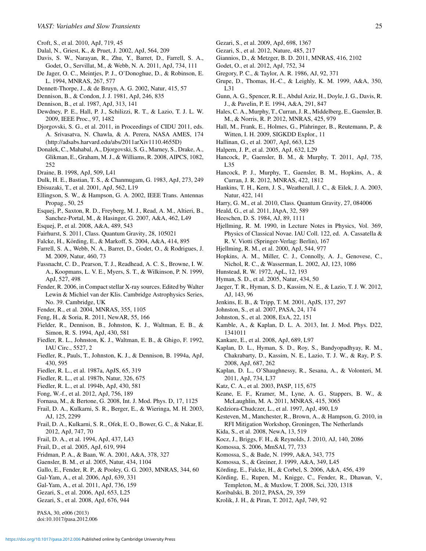- Croft, S., et al. 2010, ApJ, 719, 45
- Dalal, N., Griest, K., & Pruet, J. 2002, ApJ, 564, 209
- Davis, S. W., Narayan, R., Zhu, Y., Barret, D., Farrell, S. A., Godet, O., Servillat, M., & Webb, N. A. 2011, ApJ, 734, 111
- De Jager, O. C., Meintjes, P. J., O'Donoghue, D., & Robinson, E. L. 1994, MNRAS, 267, 577
- Dennett-Thorpe, J., & de Bruyn, A. G. 2002, Natur, 415, 57
- Dennison, B., & Condon, J. J. 1981, ApJ, 246, 835
- Dennison, B., et al. 1987, ApJ, 313, 141
- Dewdney, P. E., Hall, P. J., Schilizzi, R. T., & Lazio, T. J. L. W. 2009, IEEE Proc., 97, 1482
- Djorgovski, S. G., et al. 2011, in Proceedings of CIDU 2011, eds. A. Srivasatva, N. Chawla, & A. Perera, NASA AMES, 174 (http://adsabs.harvard.edu/abs/2011arXiv1110.4655D)
- Donalek, C., Mahabal, A., Djorgovski, S. G., Marney, S., Drake, A., Glikman, E., Graham, M. J., & Williams, R. 2008, AIPCS, 1082, 252
- Draine, B. 1998, ApJ, 509, L41
- Dulk, H. E., Bastian, T. S., & Chanmugam, G. 1983, ApJ, 273, 249
- Ebisuzaki, T., et al. 2001, ApJ, 562, L19
- Ellingson, S. W., & Hampson, G. A. 2002, IEEE Trans. Antennas Propag., 50, 25
- Esquej, P., Saxton, R. D., Freyberg, M. J., Read, A. M., Altieri, B., Sanchez-Portal, M., & Hasinger, G. 2007, A&A, 462, L49
- Esquej, P., et al. 2008, A&A, 489, 543
- Fairhurst, S. 2011, Class. Quantum Gravity, 28, 105021
- Falcke, H., Körding, E., & Markoff, S. 2004, A&A, 414, 895
- Farrell, S. A., Webb, N. A., Barret, D., Godet, O., & Rodrigues, J. M. 2009, Natur, 460, 73
- Fassnacht, C. D., Pearson, T. J., Readhead, A. C. S., Browne, I. W. A., Koopmans, L. V. E., Myers, S. T., & Wilkinson, P. N. 1999, ApJ, 527, 498
- Fender, R. 2006, in Compact stellar X-ray sources. Edited by Walter Lewin & Michiel van der Klis. Cambridge Astrophysics Series, No. 39. Cambridge, UK
- Fender, R., et al. 2004, MNRAS, 355, 1105
- Feng, H., & Soria, R. 2011, NewAR, 55, 166
- Fielder, R., Dennison, B., Johnston, K. J., Waltman, E. B., & Simon, R. S. 1994, ApJ, 430, 581
- Fiedler, R. L., Johnston, K. J., Waltman, E. B., & Ghigo, F. 1992, IAU Circ., 5527, 2
- Fiedler, R., Pauls, T., Johnston, K. J., & Dennison, B. 1994a, ApJ, 430, 595
- Fiedler, R. L., et al. 1987a, ApJS, 65, 319
- Fiedler, R. L., et al. 1987b, Natur, 326, 675
- Fiedler, R. L., et al. 1994b, ApJ, 430, 581
- Fong, W.-f., et al. 2012, ApJ, 756, 189
- Fornasa, M., & Bertone, G. 2008, Int. J. Mod. Phys. D, 17, 1125
- Frail, D. A., Kulkarni, S. R., Berger, E., & Wieringa, M. H. 2003, AJ, 125, 2299
- Frail, D. A., Kulkarni, S. R., Ofek, E. O., Bower, G. C., & Nakar, E. 2012, ApJ, 747, 70
- Frail, D. A., et al. 1994, ApJ, 437, L43
- Frail, D., et al. 2005, ApJ, 619, 994
- Fridman, P. A., & Baan, W. A. 2001, A&A, 378, 327
- Gaensler, B. M., et al. 2005, Natur, 434, 1104
- Gallo, E., Fender, R. P., & Pooley, G. G. 2003, MNRAS, 344, 60
- Gal-Yam, A., et al. 2006, ApJ, 639, 331
- Gal-Yam, A., et al. 2011, ApJ, 736, 159
- Gezari, S., et al. 2006, ApJ, 653, L25
- Gezari, S., et al. 2008, ApJ, 676, 944

PASA, 30, e006 (2013) doi:10.1017/pasa.2012.006

- Gezari, S., et al. 2009, ApJ, 698, 1367
- Gezari, S., et al. 2012, Nature, 485, 217
- Giannios, D., & Metzger, B. D. 2011, MNRAS, 416, 2102
- Godet, O., et al. 2012, ApJ, 752, 34
- Gregory, P. C., & Taylor, A. R. 1986, AJ, 92, 371
- Grupe, D., Thomas, H.-C., & Leighly, K. M. 1999, A&A, 350, L31
- Gunn, A. G., Spencer, R. E., Abdul Aziz, H., Doyle, J. G., Davis, R. J., & Pavelin, P. E. 1994, A&A, 291, 847
- Hales, C. A., Murphy, T., Curran, J. R., Middelberg, E., Gaensler, B. M., & Norris, R. P. 2012, MNRAS, 425, 979
- Hall, M., Frank, E., Holmes, G., Pfahringer, B., Reutemann, P., & Witten, I. H. 2009, SIGKDD Explor., 11
- Hallinan, G., et al. 2007, ApJ, 663, L25
- Halpern, J. P., et al. 2005, ApJ, 632, L29
- Hancock, P., Gaensler, B. M., & Murphy, T. 2011, ApJ, 735,  $L35$
- Hancock, P. J., Murphy, T., Gaensler, B. M., Hopkins, A., & Curran, J. R. 2012, MNRAS, 422, 1812
- Hankins, T. H., Kern, J. S., Weatherall, J. C., & Eilek, J. A. 2003, Natur, 422, 141
- Harry, G. M., et al. 2010, Class. Quantum Gravity, 27, 084006
- Heald, G., et al. 2011, JApA, 32, 589
- Heeschen, D. S. 1984, AJ, 89, 1111
- Hjellming, R. M. 1990, in Lecture Notes in Physics, Vol. 369, Physics of Classical Novae. IAU Coll. 122, ed. A. Cassatella & R. V. Viotti (Springer-Verlag: Berlin), 167
- Hjellming, R. M., et al. 2000, ApJ, 544, 977
- Hopkins, A. M., Miller, C. J., Connolly, A. J., Genovese, C., Nichol, R. C., & Wasserman, L. 2002, AJ, 123, 1086
- Hunstead, R. W. 1972, ApL, 12, 193
- Hyman, S. D., et al. 2005, Natur, 434, 50
- Jaeger, T. R., Hyman, S. D., Kassim, N. E., & Lazio, T. J. W. 2012, AJ, 143, 96
- Jenkins, E. B., & Tripp, T. M. 2001, ApJS, 137, 297
- Johnston, S., et al. 2007, PASA, 24, 174
- Johnston, S., et al. 2008, ExA, 22, 151
- Kamble, A., & Kaplan, D. L. A. 2013, Int. J. Mod. Phys. D22, 1341011
- Kankare, E., et al. 2008, ApJ, 689, L97
- Kaplan, D. L., Hyman, S. D., Roy, S., Bandyopadhyay, R. M., Chakrabarty, D., Kassim, N. E., Lazio, T. J. W., & Ray, P. S. 2008, ApJ, 687, 262
- Kaplan, D. L., O'Shaughnessy, R., Sesana, A., & Volonteri, M. 2011, ApJ, 734, L37
- Katz, C. A., et al. 2003, PASP, 115, 675
- Keane, E. F., Kramer, M., Lyne, A. G., Stappers, B. W., & McLaughlin, M. A. 2011, MNRAS, 415, 3065
- Kedziora-Chudczer, L., et al. 1997, ApJ, 490, L9
- Kesteven, M., Manchester, R., Brown, A., & Hampson, G. 2010, in RFI Mitigation Workshop, Groningen, The Netherlands
- Kida, S., et al. 2008, NewA, 13, 519
- Kocz, J., Briggs, F. H., & Reynolds, J. 2010, AJ, 140, 2086
- Komossa, S. 2006, MmSAI, 77, 733
- Komossa, S., & Bade, N. 1999, A&A, 343, 775
- Komossa, S., & Greiner, J. 1999, A&A, 349, L45
- Körding, E., Falcke, H., & Corbel, S. 2006, A&A, 456, 439
- Körding, E., Rupen, M., Knigge, C., Fender, R., Dhawan, V., Templeton, M., & Muxlow, T. 2008, Sci, 320, 1318
- Koribalski, B. 2012, PASA, 29, 359
- Krolik, J. H., & Piran, T. 2012, ApJ, 749, 92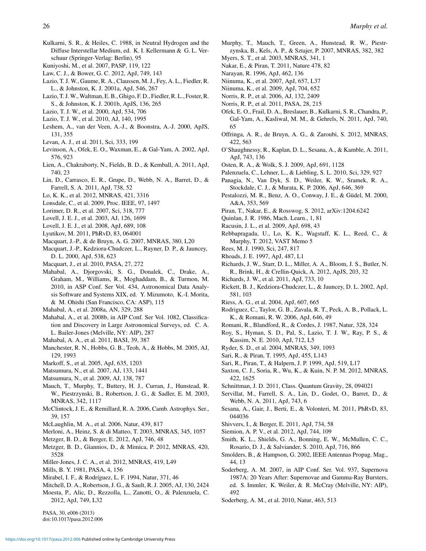- Kulkarni, S. R., & Heiles, C. 1988, in Neutral Hydrogen and the Diffuse Interstellar Medium, ed. K. I. Kellermann & G. L. Verschuur (Springer-Verlag: Berlin), 95
- Kuniyoshi, M., et al. 2007, PASP, 119, 122
- Law, C. J., & Bower, G. C. 2012, ApJ, 749, 143
- Lazio, T. J. W., Gaume, R. A., Claussen, M. J., Fey, A. L., Fiedler, R. L., & Johnston, K. J. 2001a, ApJ, 546, 267
- Lazio, T. J. W., Waltman, E. B., Ghigo, F. D., Fiedler, R. L., Foster, R. S., & Johnston, K. J. 2001b, ApJS, 136, 265
- Lazio, T. J. W., et al. 2000, ApJ, 534, 706
- Lazio, T. J. W., et al. 2010, AJ, 140, 1995
- Leshem, A., van der Veen, A.-J., & Boonstra, A.-J. 2000, ApJS, 131, 355
- Levan, A. J., et al. 2011, Sci, 333, 199
- Levinson, A., Ofek, E. O., Waxman, E., & Gal-Yam, A. 2002, ApJ, 576, 923
- Lien, A., Chakraborty, N., Fields, B. D., & Kemball, A. 2011, ApJ, 740, 23
- Lin, D., Carrasco, E. R., Grupe, D., Webb, N. A., Barret, D., & Farrell, S. A. 2011, ApJ, 738, 52
- Lo, K. K., et al. 2012, MNRAS, 421, 3316
- Lonsdale, C., et al. 2009, Proc. IEEE, 97, 1497
- Lorimer, D. R., et al. 2007, Sci, 318, 777
- Lovell, J. E. J., et al. 2003, AJ, 126, 1699
- Lovell, J. E. J., et al. 2008, ApJ, 689, 108
- Lyutikov, M. 2011, PhRvD, 83, 064001
- Macquart, J.-P., & de Bruyn, A. G. 2007, MNRAS, 380, L20
- Macquart, J.-P., Kedziora-Chudczer, L., Rayner, D. P., & Jauncey, D. L. 2000, ApJ, 538, 623
- Macquart, J., et al. 2010, PASA, 27, 272
- Mahabal, A., Djorgovski, S. G., Donalek, C., Drake, A., Graham, M., Williams, R., Moghaddam, B., & Turmon, M. 2010, in ASP Conf. Ser Vol. 434, Astronomical Data Analysis Software and Systems XIX, ed. Y. Mizumoto, K.-I. Morita, & M. Ohishi (San Francisco, CA: ASP), 115
- Mahabal, A., et al. 2008a, AN, 329, 288
- Mahabal, A., et al. 2008b, in AIP Conf. Ser Vol. 1082, Classification and Discovery in Large Astronomical Surveys, ed. C. A. L. Bailer-Jones (Melville, NY: AIP), 287
- Mahabal, A. A., et al. 2011, BASI, 39, 387
- Manchester, R. N., Hobbs, G. B., Teoh, A., & Hobbs, M. 2005, AJ, 129, 1993
- Markoff, S., et al. 2005, ApJ, 635, 1203
- Matsumura, N., et al. 2007, AJ, 133, 1441
- Matsumura, N., et al. 2009, AJ, 138, 787
- Mauch, T., Murphy, T., Buttery, H. J., Curran, J., Hunstead, R. W., Piestrzynski, B., Robertson, J. G., & Sadler, E. M. 2003, MNRAS, 342, 1117
- McClintock, J. E., & Remillard, R. A. 2006, Camb. Astrophys. Ser., 39, 157
- McLaughlin, M. A., et al. 2006, Natur, 439, 817
- Merloni, A., Heinz, S. & di Matteo, T. 2003, MNRAS, 345, 1057
- Metzger, B. D., & Berger, E. 2012, ApJ, 746, 48
- Metzger, B. D., Giannios, D., & Mimica, P. 2012, MNRAS, 420, 3528
- Miller-Jones, J. C. A., et al. 2012, MNRAS, 419, L49
- Mills, B. Y. 1981, PASA, 4, 156
- Mirabel, I. F., & Rodríguez, L. F. 1994, Natur, 371, 46
- Mitchell, D. A., Robertson, J. G., & Sault, R. J. 2005, AJ, 130, 2424
- Moesta, P., Alic, D., Rezzolla, L., Zanotti, O., & Palenzuela, C. 2012, ApJ, 749, L32

PASA, 30, e006 (2013) doi:10.1017/pasa.2012.006

- Murphy, T., Mauch, T., Green, A., Hunstead, R. W., Piestrzynska, B., Kels, A. P., & Sztajer, P. 2007, MNRAS, 382, 382
- Myers, S. T., et al. 2003, MNRAS, 341, 1
- Nakar, E., & Piran, T. 2011, Nature 478, 82
- Narayan, R. 1996, ApJ, 462, 136
- Niinuma, K., et al. 2007, ApJ, 657, L37
- Niinuma, K., et al. 2009, ApJ, 704, 652
- Norris, R. P., et al. 2006, AJ, 132, 2409
- Norris, R. P., et al. 2011, PASA, 28, 215
- Ofek, E. O., Frail, D. A., Breslauer, B., Kulkarni, S. R., Chandra, P., Gal-Yam, A., Kasliwal, M. M., & Gehrels, N. 2011, ApJ, 740, 65
- Offringa, A. R., de Bruyn, A. G., & Zaroubi, S. 2012, MNRAS, 422, 563
- O'Shaughnessy, R., Kaplan, D. L., Sesana, A., & Kamble, A. 2011, ApJ, 743, 136
- Osten, R. A., & Wolk, S. J. 2009, ApJ, 691, 1128
- Palenzuela, C., Lehner, L., & Liebling, S. L. 2010, Sci, 329, 927
- Panagia, N., Van Dyk, S. D., Weiler, K. W., Sramek, R. A., Stockdale, C. J., & Murata, K. P. 2006, ApJ, 646, 369
- Pestalozzi, M. R., Benz, A. O., Conway, J. E., & Güdel, M. 2000, A&A, 353, 569
- Piran, T., Nakar, E., & Rosswog, S. 2012, arXiv:1204.6242
- Quinlan, J. R. 1986, Mach. Learn., 1, 81
- Racusin, J. L., et al. 2009, ApJ, 698, 43
- Rebbapragada, U., Lo, K. K., Wagstaff, K. L., Reed, C., & Murphy, T. 2012, VAST Memo 5
- Rees, M. J. 1990, Sci, 247, 817
- Rhoads, J. E. 1997, ApJ, 487, L1
- Richards, J. W., Starr, D. L., Miller, A. A., Bloom, J. S., Butler, N. R., Brink, H., & Crellin-Quick, A. 2012, ApJS, 203, 32
- Richards, J. W., et al. 2011, ApJ, 733, 10
- Rickett, B. J., Kedziora-Chudczer, L., & Jauncey, D. L. 2002, ApJ, 581, 103
- Riess, A. G., et al. 2004, ApJ, 607, 665
- Rodriguez, C., Taylor, G. B., Zavala, R. T., Peck, A. B., Pollack, L. K., & Romani, R. W. 2006, ApJ, 646, 49
- Romani, R., Blandford, R., & Cordes, J. 1987, Natur, 328, 324
- Roy, S., Hyman, S. D., Pal, S., Lazio, T. J. W., Ray, P. S., & Kassim, N. E. 2010, ApJ, 712, L5
- Ryder, S. D., et al. 2004, MNRAS, 349, 1093
- Sari, R., & Piran, T. 1995, ApJ, 455, L143
- Sari, R., Piran, T., & Halpern, J. P. 1999, ApJ, 519, L17
- Saxton, C. J., Soria, R., Wu, K., & Kuin, N. P. M. 2012, MNRAS, 422, 1625
- Schnittman, J. D. 2011, Class. Quantum Gravity, 28, 094021
- Servillat, M., Farrell, S. A., Lin, D., Godet, O., Barret, D., & Webb, N. A. 2011, ApJ, 743, 6
- Sesana, A., Gair, J., Berti, E., & Volonteri, M. 2011, PhRvD, 83, 044036
- Shivvers, I., & Berger, E. 2011, ApJ, 734, 58
- Siemion, A. P. V., et al. 2012, ApJ, 744, 109
- Smith, K. L., Shields, G. A., Bonning, E. W., McMullen, C. C., Rosario, D. J., & Salviander, S. 2010, ApJ, 716, 866
- Smolders, B., & Hampson, G. 2002, IEEE Antennas Propag. Mag., 44, 13
- Soderberg, A. M. 2007, in AIP Conf. Ser. Vol. 937, Supernova 1987A: 20 Years After: Supernovae and Gamma-Ray Bursters, ed. S. Immler, K. Weiler, & R. McCray (Melville, NY: AIP), 492
- Soderberg, A. M., et al. 2010, Natur, 463, 513